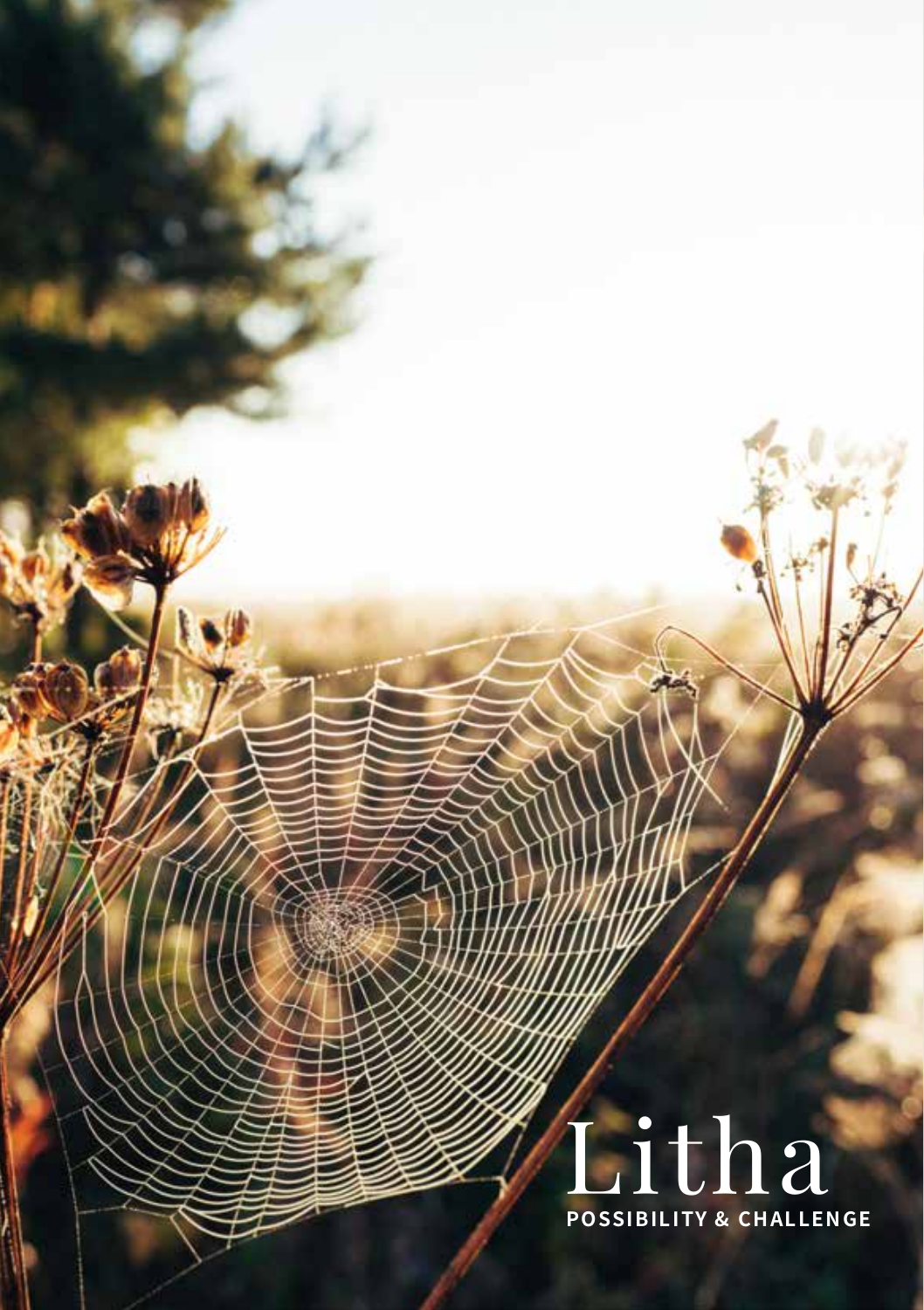## Litha **POSSIBILITY & CHALLENGE**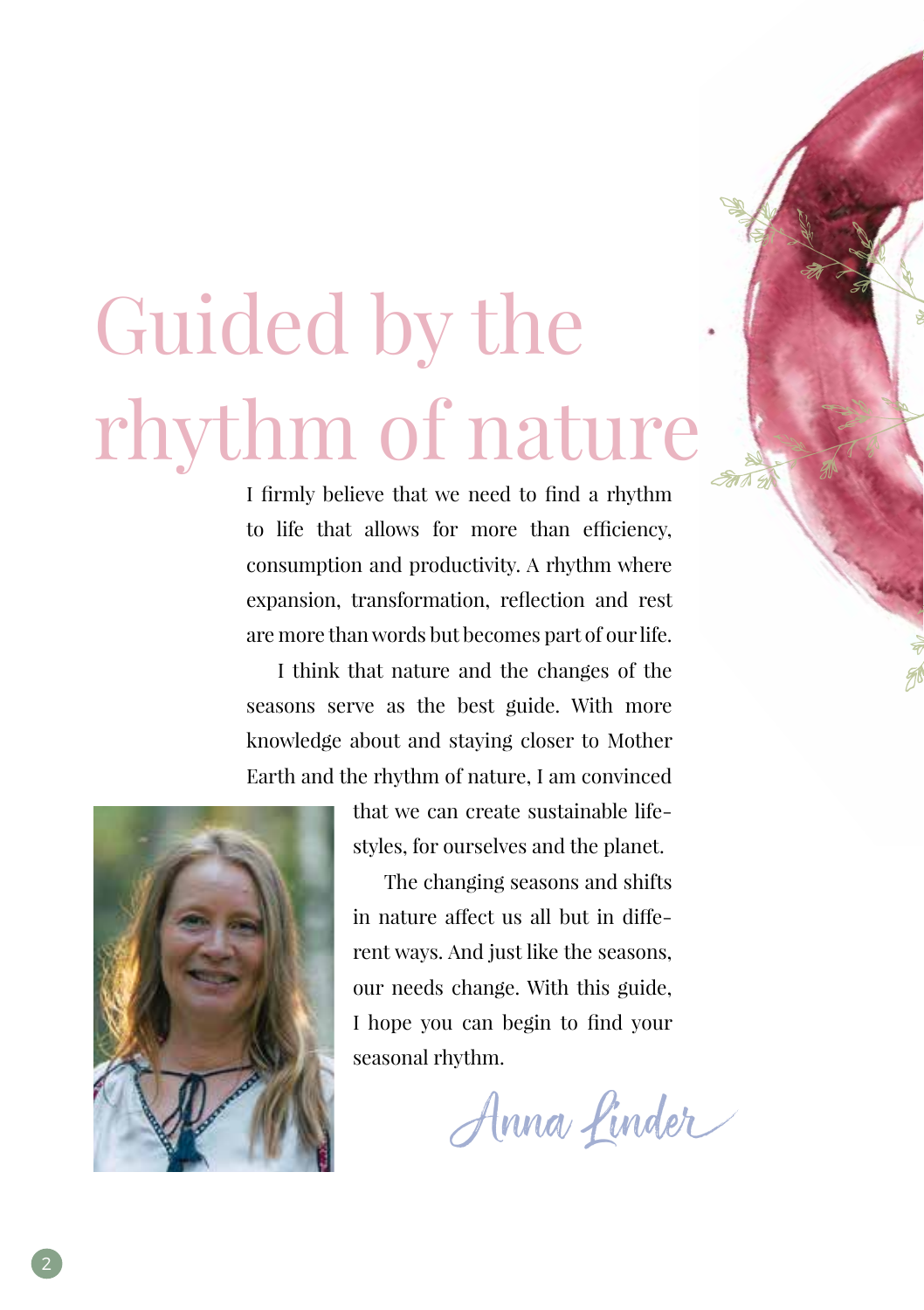# Guided by the rhythm of nature

I firmly believe that we need to find a rhythm to life that allows for more than efficiency, consumption and productivity. A rhythm where expansion, transformation, reflection and rest are more than words but becomes part of our life.

I think that nature and the changes of the seasons serve as the best guide. With more knowledge about and staying closer to Mother Earth and the rhythm of nature, I am convinced



that we can create sustainable lifestyles, for ourselves and the planet.

The changing seasons and shifts in nature affect us all but in different ways. And just like the seasons, our needs change. With this guide, I hope you can begin to find your seasonal rhythm.

Anna Linder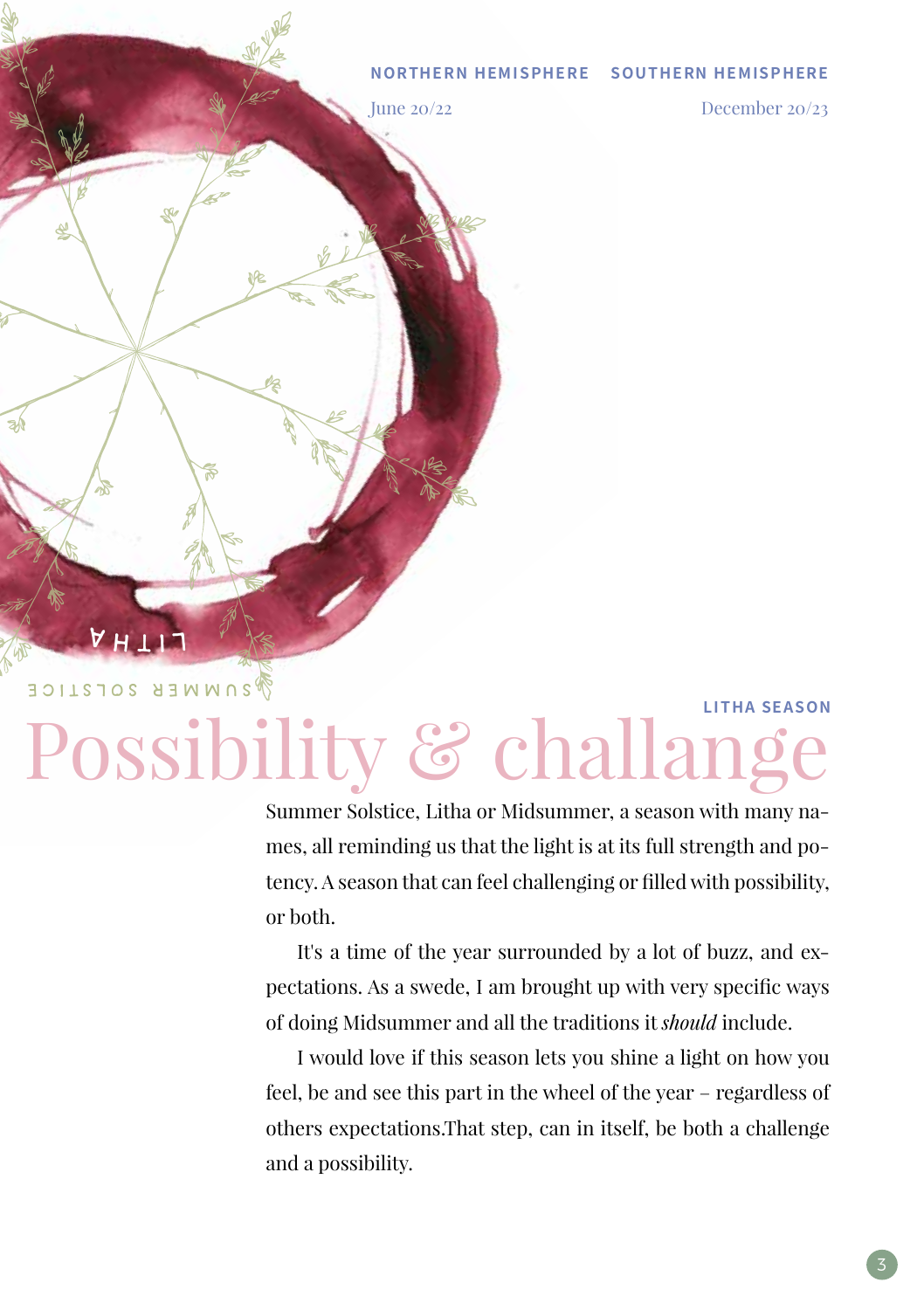### **NORTHERN HEMISPHERE SOUTHERN HEMISPHERE**

June 20/22 December 20/23

 $V H 117$ 

ঝ

## sn W W E B SO F 2 LICE Possibility & challang **LITHA SEASON**

Summer Solstice, Litha or Midsummer, a season with many names, all reminding us that the light is at its full strength and potency. A season that can feel challenging or filled with possibility, or both.

It's a time of the year surrounded by a lot of buzz, and expectations. As a swede, I am brought up with very specific ways of doing Midsummer and all the traditions it *should* include.

I would love if this season lets you shine a light on how you feel, be and see this part in the wheel of the year – regardless of others expectations.That step, can in itself, be both a challenge and a possibility.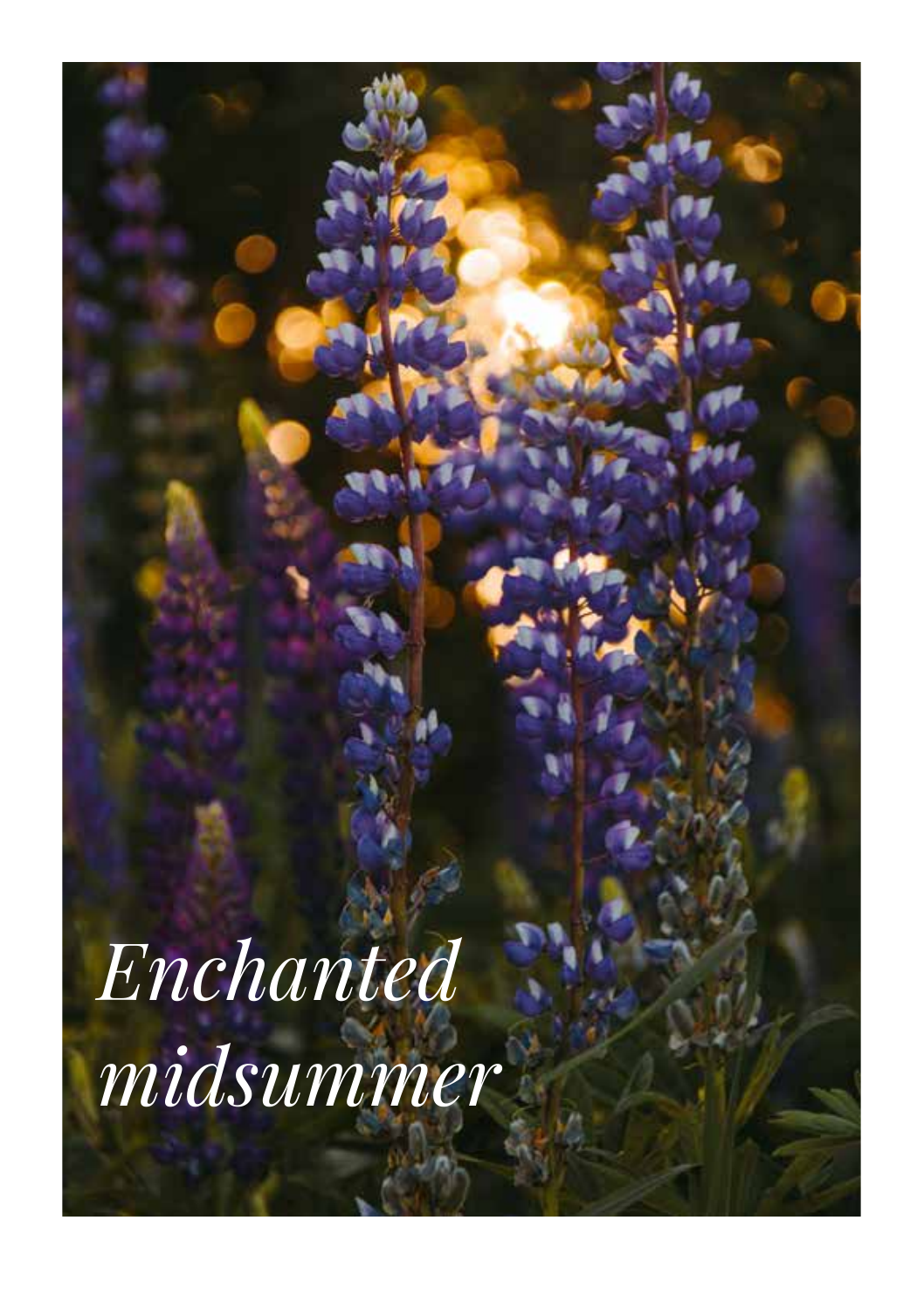*Enchanted midsummer*

*Five small*

*rituals to*

*reconnect*

*with nature*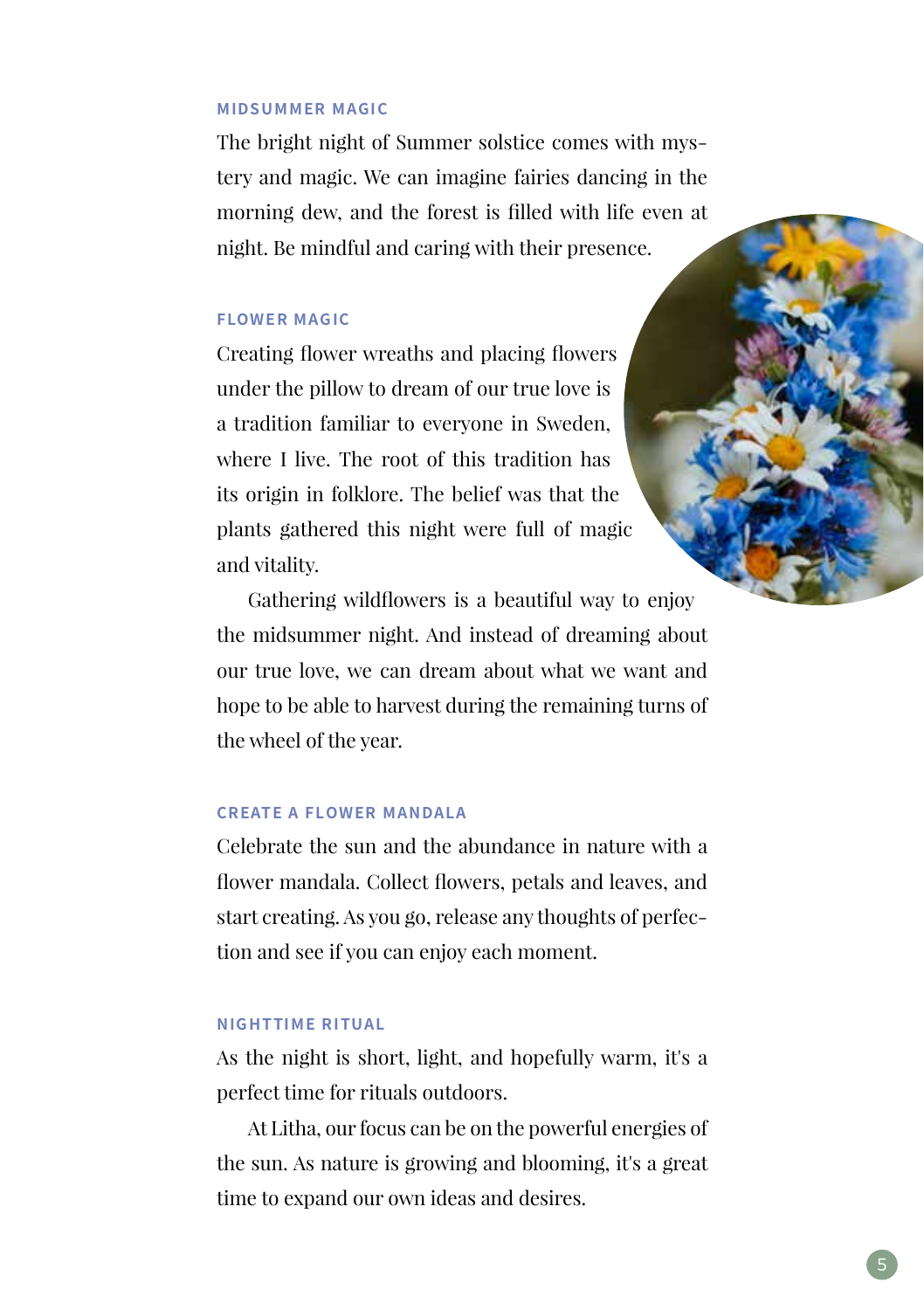### **MIDSUMMER MAGIC**

The bright night of Summer solstice comes with mystery and magic. We can imagine fairies dancing in the morning dew, and the forest is filled with life even at night. Be mindful and caring with their presence.

### **FLOWER MAGIC**

Creating flower wreaths and placing flowers under the pillow to dream of our true love is a tradition familiar to everyone in Sweden, where I live. The root of this tradition has its origin in folklore. The belief was that the plants gathered this night were full of magic and vitality.

Gathering wildflowers is a beautiful way to enjoy the midsummer night. And instead of dreaming about our true love, we can dream about what we want and hope to be able to harvest during the remaining turns of the wheel of the year.

### **CREATE A FLOWER MANDALA**

Celebrate the sun and the abundance in nature with a flower mandala. Collect flowers, petals and leaves, and start creating. As you go, release any thoughts of perfection and see if you can enjoy each moment.

### **NIGHTTIME RITUAL**

As the night is short, light, and hopefully warm, it's a perfect time for rituals outdoors.

At Litha, our focus can be on the powerful energies of the sun. As nature is growing and blooming, it's a great time to expand our own ideas and desires.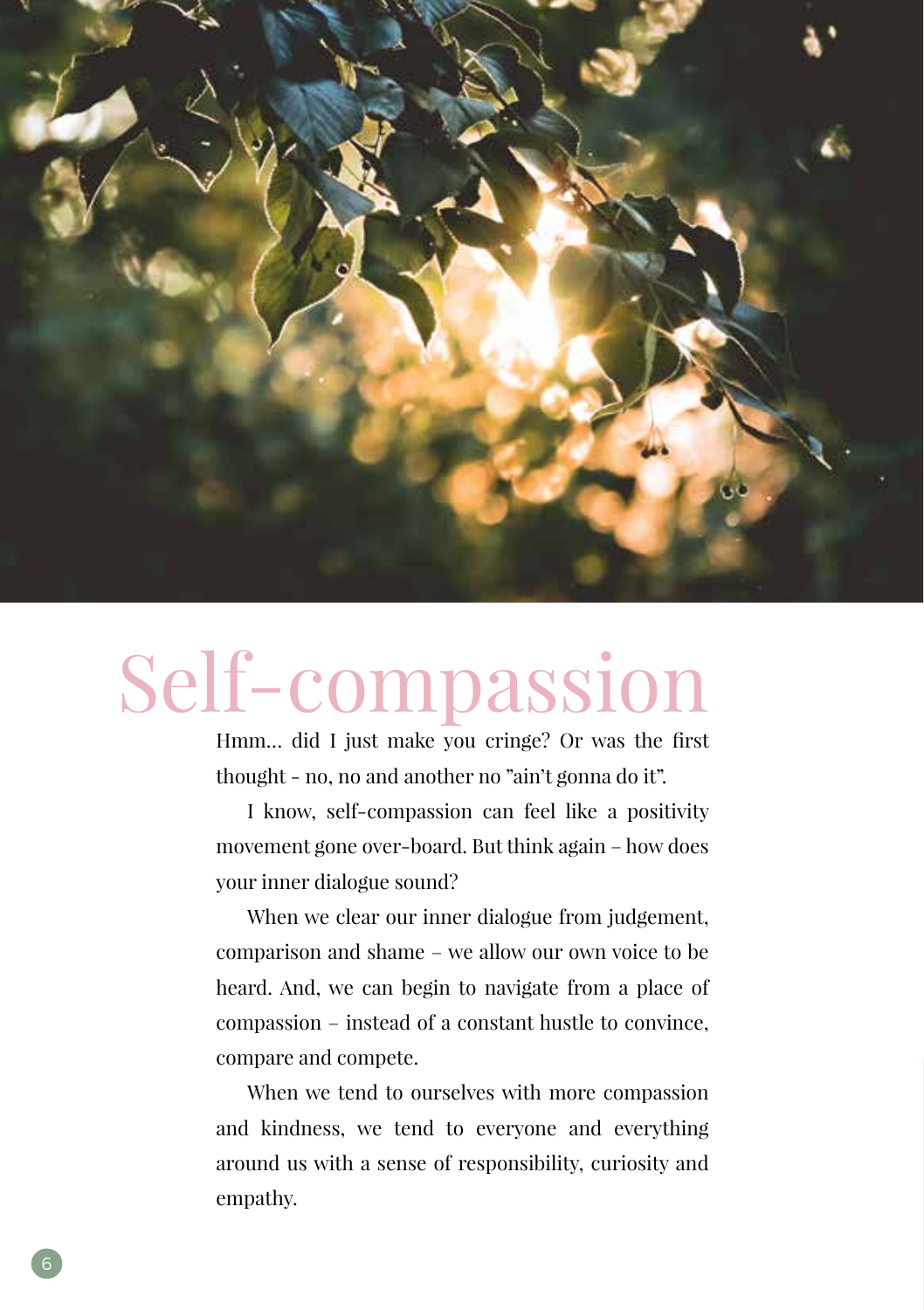

## Self-compassion

Hmm… did I just make you cringe? Or was the first thought - no, no and another no "ain't gonna do it".

I know, self-compassion can feel like a positivity movement gone over-board. But think again – how does your inner dialogue sound?

When we clear our inner dialogue from judgement, comparison and shame – we allow our own voice to be heard. And, we can begin to navigate from a place of compassion – instead of a constant hustle to convince, compare and compete.

When we tend to ourselves with more compassion and kindness, we tend to everyone and everything around us with a sense of responsibility, curiosity and empathy.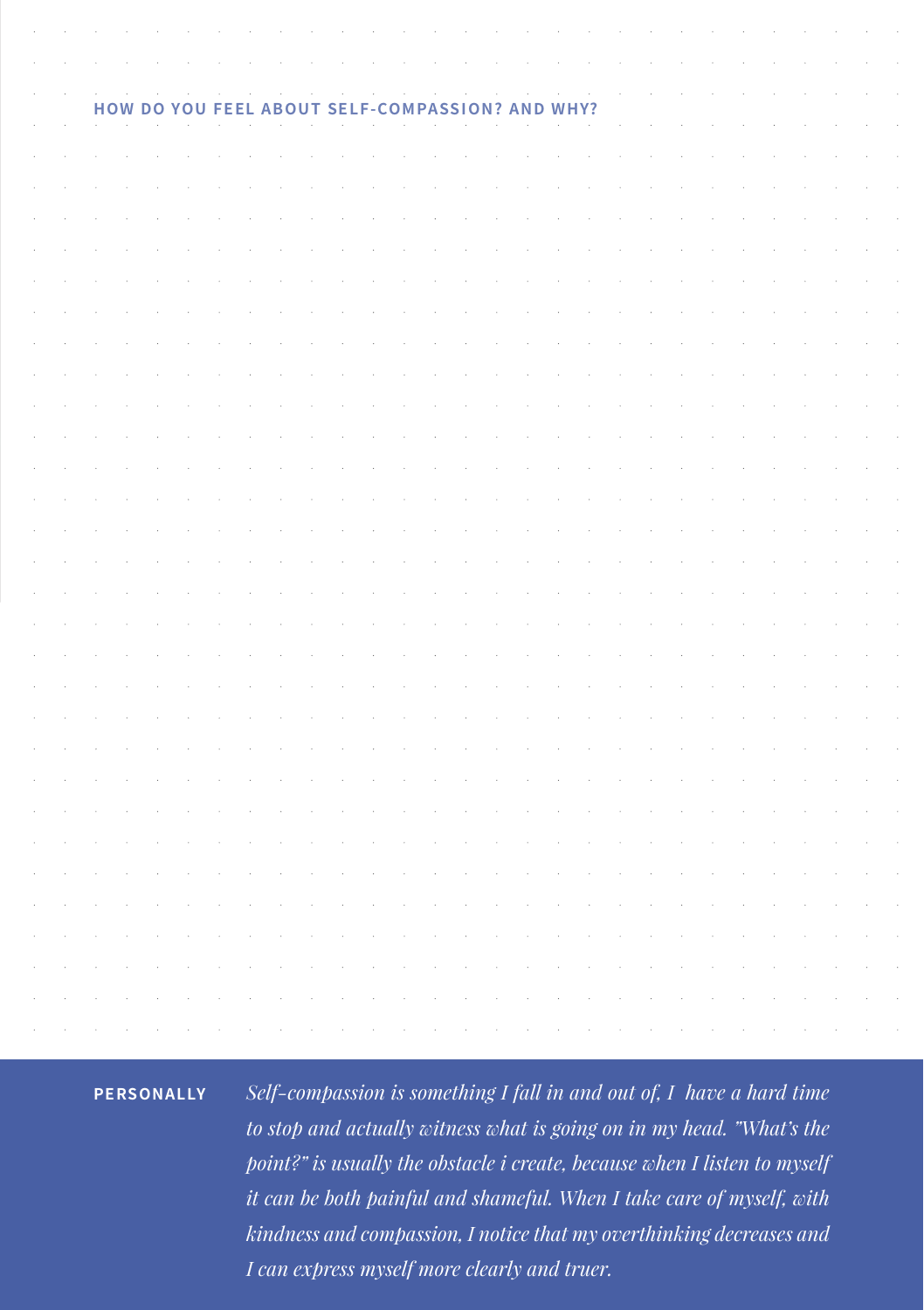|  |   |    |    |        |               |                             |    |        | HOW DO YOU FEEL ABOUT SELF-COMPASSION? AND WHY? |        |        |        |        |    |  |  |  |  |  |
|--|---|----|----|--------|---------------|-----------------------------|----|--------|-------------------------------------------------|--------|--------|--------|--------|----|--|--|--|--|--|
|  | ÷ | ÷. | ÷. | $\sim$ | $\mathcal{L}$ | $\mathcal{L}_{\mathcal{A}}$ | ÷. | $\sim$ | $\sim$                                          | $\sim$ | $\sim$ | $\sim$ | $\sim$ | ÷. |  |  |  |  |  |
|  |   |    |    |        |               |                             |    |        |                                                 |        |        |        |        |    |  |  |  |  |  |
|  |   |    |    |        |               |                             |    |        |                                                 |        |        |        |        |    |  |  |  |  |  |
|  |   |    |    |        |               |                             |    |        |                                                 |        |        |        |        |    |  |  |  |  |  |
|  |   |    |    |        |               |                             |    |        |                                                 |        |        |        |        |    |  |  |  |  |  |
|  |   |    |    |        |               |                             |    |        |                                                 |        |        |        |        |    |  |  |  |  |  |
|  |   |    |    |        |               |                             |    |        |                                                 |        |        |        |        |    |  |  |  |  |  |
|  |   |    |    |        |               |                             |    |        |                                                 |        |        |        |        |    |  |  |  |  |  |
|  |   |    |    |        |               |                             |    |        |                                                 |        |        |        |        |    |  |  |  |  |  |
|  |   |    |    |        |               |                             |    |        |                                                 |        |        |        |        |    |  |  |  |  |  |
|  |   |    |    |        |               |                             |    |        |                                                 |        |        |        |        |    |  |  |  |  |  |
|  |   |    |    |        |               |                             |    |        |                                                 |        |        |        |        |    |  |  |  |  |  |
|  |   |    |    |        |               |                             |    |        |                                                 |        |        |        |        |    |  |  |  |  |  |
|  |   |    |    |        |               |                             |    |        |                                                 |        |        |        |        |    |  |  |  |  |  |
|  |   |    |    |        |               |                             |    |        |                                                 |        |        |        |        |    |  |  |  |  |  |
|  |   |    |    |        |               |                             |    |        |                                                 |        |        |        |        |    |  |  |  |  |  |
|  |   |    |    |        |               |                             |    |        |                                                 |        |        |        |        |    |  |  |  |  |  |
|  |   |    |    |        |               |                             |    |        |                                                 |        |        |        |        |    |  |  |  |  |  |
|  |   |    |    |        |               |                             |    |        |                                                 |        |        |        |        |    |  |  |  |  |  |
|  |   |    |    |        |               |                             |    |        |                                                 |        |        |        |        |    |  |  |  |  |  |
|  |   |    |    |        |               |                             |    |        |                                                 |        |        |        |        |    |  |  |  |  |  |
|  |   |    |    |        |               |                             |    |        |                                                 |        |        |        |        |    |  |  |  |  |  |
|  |   |    |    |        |               |                             |    |        |                                                 |        |        |        |        |    |  |  |  |  |  |
|  |   |    |    |        |               |                             |    |        |                                                 |        |        |        |        |    |  |  |  |  |  |
|  |   |    |    |        |               |                             |    |        |                                                 |        |        |        |        |    |  |  |  |  |  |
|  |   |    |    |        |               |                             |    |        |                                                 |        |        |        |        |    |  |  |  |  |  |
|  |   |    |    |        |               |                             |    |        |                                                 |        |        |        |        |    |  |  |  |  |  |
|  |   |    |    |        |               |                             |    |        |                                                 |        |        |        |        |    |  |  |  |  |  |
|  |   |    |    |        |               |                             |    |        |                                                 |        |        |        |        |    |  |  |  |  |  |
|  |   |    |    |        |               |                             |    |        |                                                 |        |        |        |        |    |  |  |  |  |  |

**PERSONALLY** *Self-compassion is something I fall in and out of, I have a hard time to stop and actually witness what is going on in my head. "What's the point?" is usually the obstacle i create, because when I listen to myself it can be both painful and shameful. When I take care of myself, with kindness and compassion, I notice that my overthinking decreases and I can express myself more clearly and truer.*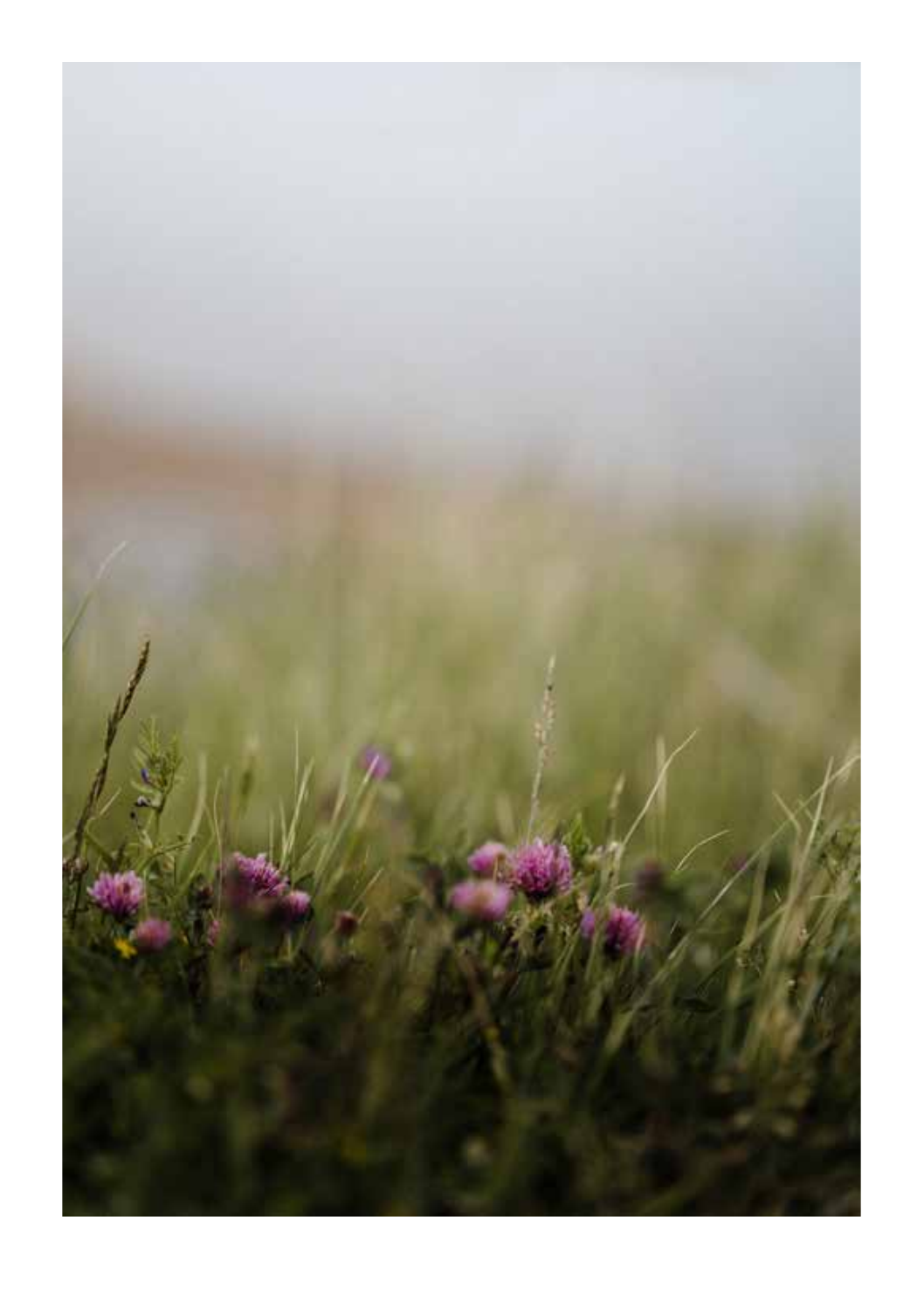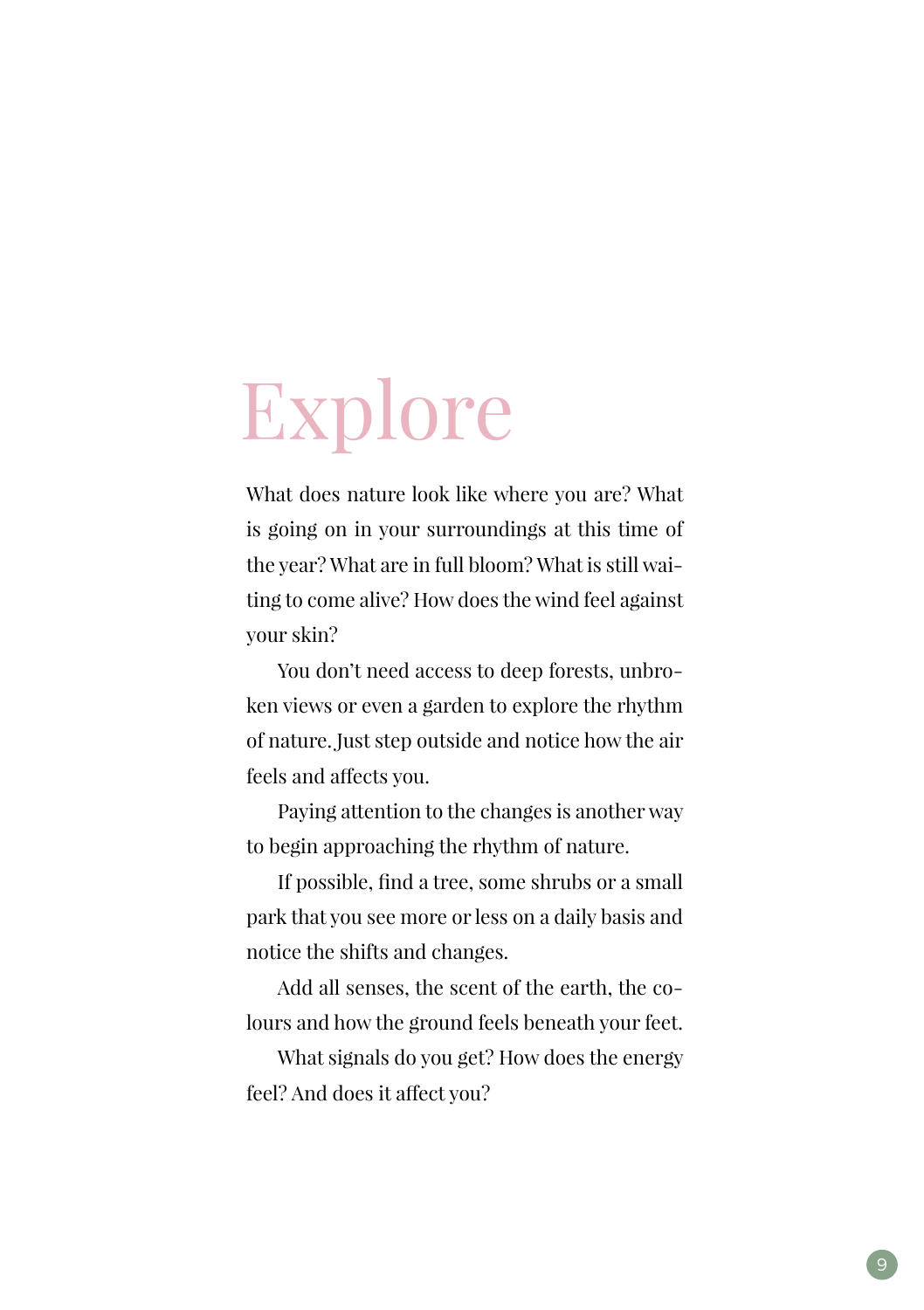## Explore

What does nature look like where you are? What is going on in your surroundings at this time of the year? What are in full bloom? What is still waiting to come alive? How does the wind feel against your skin?

You don't need access to deep forests, unbroken views or even a garden to explore the rhythm of nature. Just step outside and notice how the air feels and affects you.

Paying attention to the changes is another way to begin approaching the rhythm of nature.

If possible, find a tree, some shrubs or a small park that you see more or less on a daily basis and notice the shifts and changes.

Add all senses, the scent of the earth, the colours and how the ground feels beneath your feet.

What signals do you get? How does the energy feel? And does it affect you?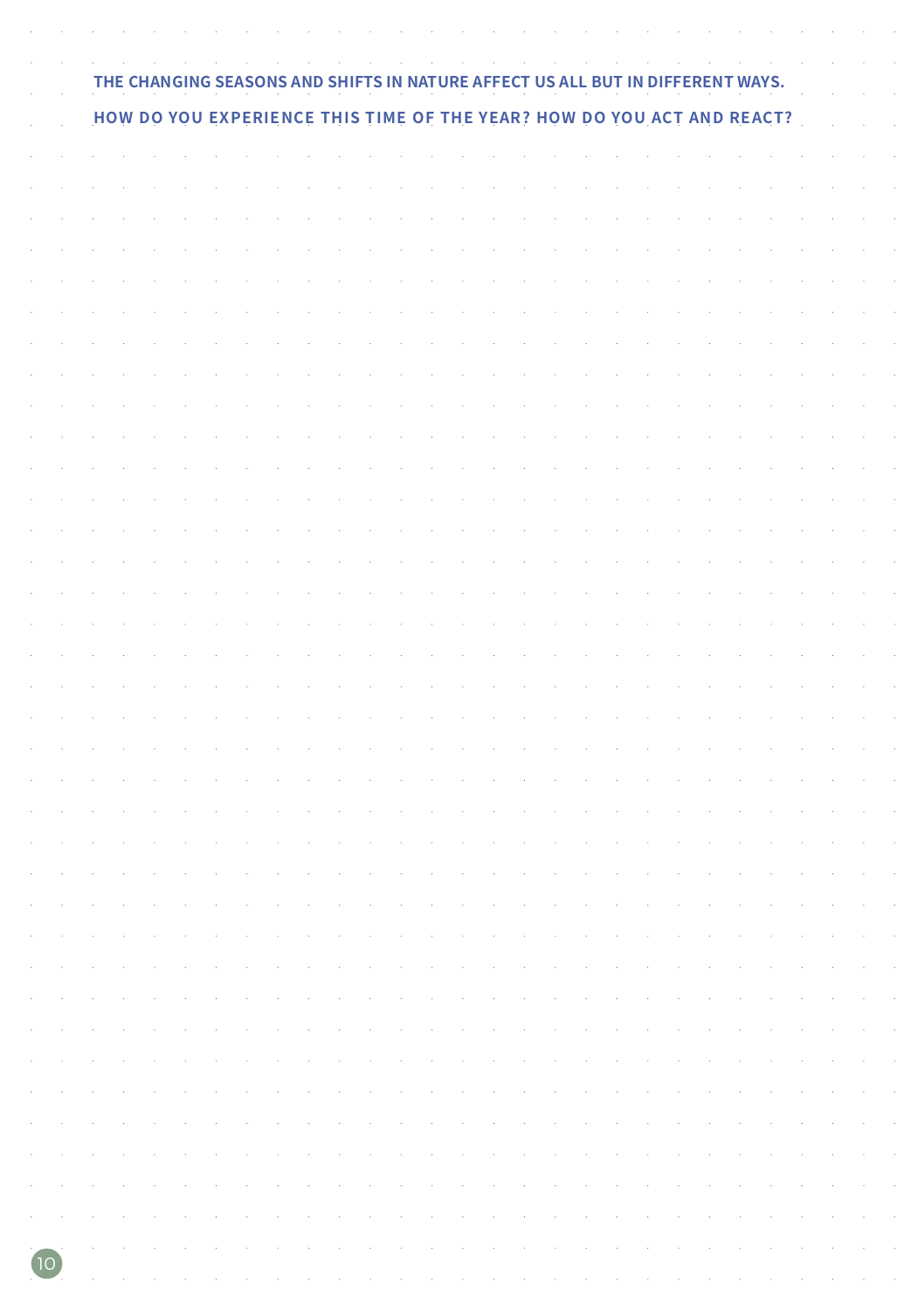|        |                 |                 |  |  |  |  |  |  | THE CHANGING SEASONS AND SHIFTS IN NATURE AFFECT US ALL BUT IN DIFFERENT WAYS.                                       |  |  |  |  |  |                 |                  |
|--------|-----------------|-----------------|--|--|--|--|--|--|----------------------------------------------------------------------------------------------------------------------|--|--|--|--|--|-----------------|------------------|
|        |                 |                 |  |  |  |  |  |  | HOW DO YOU EXPERIENCE THIS TIME OF THE YEAR? HOW DO YOU ACT AND REACT?                                               |  |  |  |  |  |                 |                  |
|        |                 |                 |  |  |  |  |  |  |                                                                                                                      |  |  |  |  |  |                 |                  |
|        |                 |                 |  |  |  |  |  |  |                                                                                                                      |  |  |  |  |  |                 |                  |
|        |                 |                 |  |  |  |  |  |  |                                                                                                                      |  |  |  |  |  |                 |                  |
|        |                 |                 |  |  |  |  |  |  |                                                                                                                      |  |  |  |  |  |                 |                  |
|        |                 |                 |  |  |  |  |  |  |                                                                                                                      |  |  |  |  |  |                 |                  |
|        |                 |                 |  |  |  |  |  |  |                                                                                                                      |  |  |  |  |  |                 |                  |
|        |                 |                 |  |  |  |  |  |  |                                                                                                                      |  |  |  |  |  |                 |                  |
|        |                 |                 |  |  |  |  |  |  |                                                                                                                      |  |  |  |  |  |                 |                  |
|        |                 |                 |  |  |  |  |  |  |                                                                                                                      |  |  |  |  |  |                 |                  |
|        |                 |                 |  |  |  |  |  |  |                                                                                                                      |  |  |  |  |  |                 |                  |
|        |                 |                 |  |  |  |  |  |  |                                                                                                                      |  |  |  |  |  |                 |                  |
|        |                 |                 |  |  |  |  |  |  |                                                                                                                      |  |  |  |  |  |                 |                  |
|        |                 |                 |  |  |  |  |  |  |                                                                                                                      |  |  |  |  |  |                 |                  |
|        |                 |                 |  |  |  |  |  |  |                                                                                                                      |  |  |  |  |  |                 |                  |
|        |                 |                 |  |  |  |  |  |  |                                                                                                                      |  |  |  |  |  |                 |                  |
|        |                 |                 |  |  |  |  |  |  |                                                                                                                      |  |  |  |  |  |                 |                  |
|        |                 |                 |  |  |  |  |  |  |                                                                                                                      |  |  |  |  |  |                 |                  |
|        |                 |                 |  |  |  |  |  |  |                                                                                                                      |  |  |  |  |  |                 |                  |
|        |                 |                 |  |  |  |  |  |  |                                                                                                                      |  |  |  |  |  |                 |                  |
|        |                 |                 |  |  |  |  |  |  |                                                                                                                      |  |  |  |  |  |                 |                  |
|        |                 |                 |  |  |  |  |  |  |                                                                                                                      |  |  |  |  |  |                 |                  |
|        |                 |                 |  |  |  |  |  |  |                                                                                                                      |  |  |  |  |  |                 |                  |
|        |                 |                 |  |  |  |  |  |  |                                                                                                                      |  |  |  |  |  |                 |                  |
|        |                 |                 |  |  |  |  |  |  |                                                                                                                      |  |  |  |  |  |                 |                  |
|        |                 |                 |  |  |  |  |  |  |                                                                                                                      |  |  |  |  |  |                 |                  |
|        |                 |                 |  |  |  |  |  |  |                                                                                                                      |  |  |  |  |  |                 |                  |
|        |                 |                 |  |  |  |  |  |  |                                                                                                                      |  |  |  |  |  |                 |                  |
|        |                 |                 |  |  |  |  |  |  |                                                                                                                      |  |  |  |  |  |                 |                  |
|        |                 |                 |  |  |  |  |  |  |                                                                                                                      |  |  |  |  |  |                 |                  |
| $\sim$ | <b>Contract</b> |                 |  |  |  |  |  |  | the contract of the contract of the contract of the contract of the contract of the contract of the contract of      |  |  |  |  |  | $\sim 10^7$     | $\sim$ 100 $\mu$ |
|        |                 |                 |  |  |  |  |  |  | and the contract of the contract of the contract of the contract of the contract of the contract of the contract     |  |  |  |  |  | $\sim$          | $\sim$           |
|        |                 |                 |  |  |  |  |  |  | the company of the company of the company of the company of the company of the company of the company of the company |  |  |  |  |  |                 |                  |
|        |                 |                 |  |  |  |  |  |  | a construction of the construction of the construction of the construction of the construction of the construction   |  |  |  |  |  | $\sim$ 10 $\pm$ | $\sim$           |
|        |                 |                 |  |  |  |  |  |  | and the company of the company of the company of the company of the company of the company of the company of the     |  |  |  |  |  |                 | $\sim$           |
| $\sim$ |                 |                 |  |  |  |  |  |  | and a complete state of the complete state of the complete state of the complete state of the complete state of      |  |  |  |  |  | $\sim 100$      | $\sim$           |
|        | All Corp.       |                 |  |  |  |  |  |  | and the contract of the contract of the contract of the contract of the contract of the contract of the contract     |  |  |  |  |  | $\sim$          | $\sim$           |
| (10)   |                 | $\sim 10^{-11}$ |  |  |  |  |  |  | والقارية القارية القاربة القاربة القاربة القاربة القاربة القاربة القاربة القاربة القاربة القاربة القاربة القار       |  |  |  |  |  |                 |                  |
|        |                 |                 |  |  |  |  |  |  | and the company of the company of the company of the company of the company of the company of the company of the     |  |  |  |  |  |                 |                  |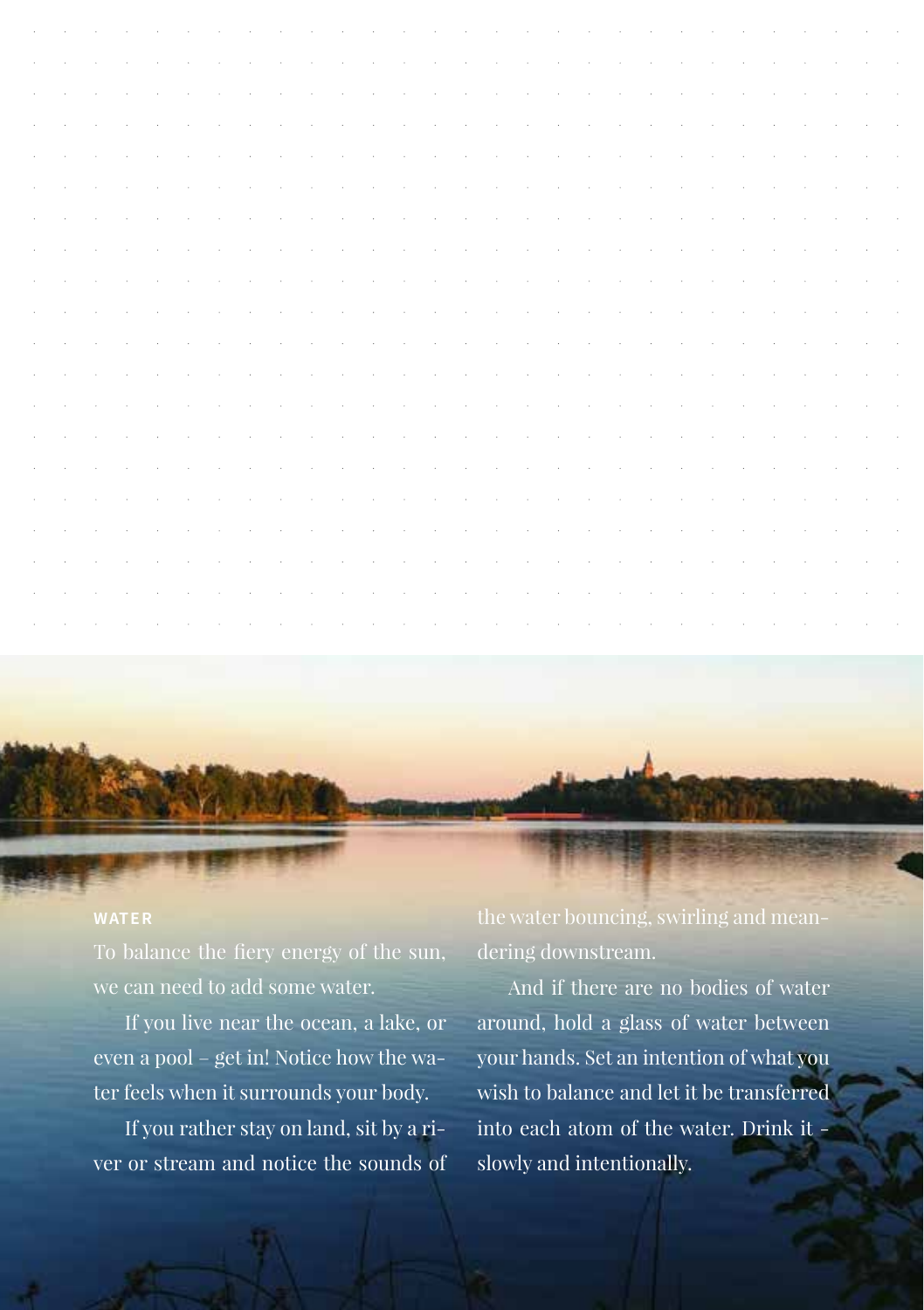| $\sim$  |        |                   | $\sim$          | $\sim$                 | $\sim$           | $\sim$          | $\sim$                                                                                                               | $\sim$          | $\sim$          | $\sim$           | $\sim$          | $\sim$            | $\sim$                                 | $\sim$          | $\sim$                | $\sim$          | $\sim$                  | $\sim$     | $\sim$          | $\sim$             | $\sim$ | $\sim$           | $\sim$            | $\sim$ | $\sim$             | $\sim$           |  |
|---------|--------|-------------------|-----------------|------------------------|------------------|-----------------|----------------------------------------------------------------------------------------------------------------------|-----------------|-----------------|------------------|-----------------|-------------------|----------------------------------------|-----------------|-----------------------|-----------------|-------------------------|------------|-----------------|--------------------|--------|------------------|-------------------|--------|--------------------|------------------|--|
| $\sim$  |        | $\sim$            | $\sim$          | and the control of the |                  | and the state   |                                                                                                                      | $\sim$          | and the state   |                  | $\sim$          |                   | the control of the control of the con- |                 |                       |                 | the company of the com- |            |                 | and the state of   | $\sim$ | and the con-     |                   | $\sim$ | $\sim$             | $\epsilon$       |  |
| $\cdot$ |        |                   | $\sim$          |                        | $\sim$ 100 $\pm$ | $\sim$          | $\sim$                                                                                                               |                 | $\epsilon$      |                  | $\lambda$       |                   | $\sim$                                 |                 |                       | $\sim$          | $\sim$                  |            | $\cdot$         |                    |        |                  |                   |        |                    |                  |  |
| $\sim$  |        |                   | $\sim$          | $\sim$                 | $\sim$           | $\sim$          | $\sim$                                                                                                               | $\sim$          | $\sim$          | $\sim$ 100 $\mu$ | $\sim$          | $\sim$            | $\sim$                                 | $\sim$          | $\sim$                | $\sim$          | $\sim$                  | $\sim$     | $\sim$          | $\sim$             | $\sim$ | $\sim$           |                   | $\sim$ |                    |                  |  |
|         |        |                   | $\sim$          | $\sim$                 | <b>Contract</b>  | $\sim$          | <b>Contract</b>                                                                                                      | $\sim$          | Arrest Made     |                  | $\sim$          |                   | $\sim$                                 | $\sim$          | $\sim$                | $\sim$          | $\sim$                  | $\sim$     | $\sim$          | $\sim$             | $\sim$ | $\sim$           | $\sim$            | $\sim$ |                    |                  |  |
| $\cdot$ |        |                   | $\sim$          | $\sim$                 | $\sim 100$       | $\sim$          | <b>Contract</b>                                                                                                      | $\sim$          | $\sim$          | <b>College</b>   | $\sim$          | $\sim$            | $\sim 100$                             | $\sim$          | <b>Contract</b>       | $\sim$          | $\sim$                  | $\sim$     | $\sim$          | $\sim$             | $\sim$ | $\epsilon$       | $\sim$ 10 $\mu$   | $\sim$ |                    |                  |  |
| $\sim$  | $\sim$ |                   |                 |                        |                  |                 | the contract of the contract of the contract of the contract of the contract of the contract of the contract of      |                 |                 |                  |                 |                   |                                        |                 |                       |                 |                         |            |                 |                    |        |                  |                   |        |                    |                  |  |
| $\sim$  | $\sim$ | <b>Contractor</b> |                 |                        |                  |                 | the contract of the contract of the contract of the contract of the contract of the contract of the contract of      |                 |                 |                  |                 |                   |                                        |                 |                       |                 |                         |            |                 |                    |        |                  |                   |        | contract and state |                  |  |
| $\sim$  |        |                   | $\sim$          | $\sim$                 | $\sim$ 10 $\mu$  | $\sim$          | $\sim$                                                                                                               | $\sim$          | $\sim$          | $\sim 100$       | $\sim$          |                   | $\sim 100$                             | $\sim$          | $\sim$                | $\sim 100$      | $\sim$                  | $\sim 100$ | $\sim$          | $\sim$             |        | $\sim$           |                   | $\sim$ |                    |                  |  |
| $\sim$  |        |                   | $\sim$          | $\sim$                 | $\sim$ $\sim$    | $\sim$          | $\sim$                                                                                                               | $\sim$          | $\sim$          | $\sim$           | $\sim$          | $\sim$            | $\sim$                                 | $\sim$          | $\sim$                | $\sim$          | $\sim$                  | $\sim$     | $\sim$          | $\sim$             | $\sim$ | $\sim$           | $\sim$            | $\sim$ |                    |                  |  |
|         |        |                   | $\sim$          |                        | $\sim$           | $\sim$          | $\sim$                                                                                                               | $\sim$          | $\sim$          |                  | $\sim$          |                   | $\sim$                                 | $\sim$          |                       | $\sim$          | $\sim$                  | $\sim$     | $\sim$          |                    | $\sim$ | $\sim$           | $\sim$            |        |                    |                  |  |
| $\sim$  |        | $\sim$            | $\sim$ 10 $\pm$ | <b>Contract</b>        | $\sim 100$       | <b>Contract</b> | <b>Contract</b>                                                                                                      | <b>Contract</b> | <b>Contract</b> | $\sim 100$       | <b>Contract</b> | <b>Contract</b>   | and a strategic                        |                 | <b>Contract</b>       | <b>Contract</b> | and the contract        |            | <b>Contract</b> | and the control of |        | $\sim$           | $\sim 100$        | $\sim$ | $\sim$             | $\sim$ 100 $\mu$ |  |
| $\sim$  |        | <b>Contractor</b> |                 |                        |                  |                 | the company of the company of the company of the company of the company of the company of the company of the company |                 |                 |                  |                 |                   |                                        |                 |                       |                 |                         |            |                 |                    |        |                  |                   |        |                    |                  |  |
|         | $\sim$ |                   |                 |                        |                  |                 |                                                                                                                      |                 |                 |                  |                 |                   |                                        |                 |                       |                 |                         |            |                 |                    |        |                  |                   |        |                    |                  |  |
| $\sim$  |        |                   | $\sim$          | contract of the        |                  |                 | and the company of the                                                                                               |                 | $\sim$          | <b>Contract</b>  | $\sim$          | <b>Contractor</b> | $\sim 100$                             | <b>Contract</b> | contract of the state |                 | and the control         |            | $\sim$          | and the control    |        |                  | and the state of  | $\sim$ |                    |                  |  |
| $\sim$  |        |                   | $\sim 10^{-1}$  | $\sim$                 | $\sim$ 10 $\mu$  | $\sim$          | $\sim$                                                                                                               | $\sim$          | $\sim$          | $\sim$           | $\sim$          |                   | $\sim 100$                             | $\sim$          | $\sim$                | $\sim 10^{-1}$  | $\sim$                  | $\sim 100$ | $\sim$          | $\sim$             | $\sim$ | $\sim$           | $\sim$            | $\sim$ |                    |                  |  |
| $\sim$  |        |                   | $\sim$          | $\sim$                 | $\sim 100$       | $\sim$          | $\sim$                                                                                                               | $\sim$          | $\sim$          | $\sim$           | $\sim$          |                   | $\sim$                                 | $\sim$          | ×.                    | $\sim$          | $\sim$                  | $\sim$     | $\sim$          | $\sim$             | $\sim$ | $\sim$           | $\sim$            | $\sim$ |                    |                  |  |
|         |        |                   |                 |                        | $\epsilon$       |                 | $\sim$                                                                                                               |                 | $\sim$          |                  | $\epsilon$      |                   | $\sim$                                 | $\epsilon$      |                       | $\sim$          | $\sim$                  |            | $\sim$          |                    |        |                  |                   |        |                    |                  |  |
|         |        |                   | $\sim$          | $\sim$                 | $\sim$           | $\sim$          | $\sim$                                                                                                               | $\sim$          | $\sim$          | $\sim$           | $\sim$          |                   | $\sim$                                 | $\sim$          | $\sim$                | $\sim$          | $\sim$                  | $\sim$     | $\sim$          | <b>State</b>       | $\sim$ | $\sim$           | $\sim$            | $\sim$ |                    |                  |  |
| $\sim$  | $\sim$ | $\sim$            | $\sim 10^{-1}$  | <b>Contractor</b>      | $\sim 100$       | $\sim$          | $\sim$                                                                                                               | $\sim$          | $\sim$          |                  | $\sim$          |                   | $\sim$                                 |                 |                       | $\sim$          | $\sim$                  | $\sim$     | $\sim$          | $\sim$             | $\sim$ | $\sim$ 10 $\sim$ | <b>Contractor</b> | $\sim$ | and the control    |                  |  |
|         |        |                   |                 |                        |                  |                 |                                                                                                                      |                 |                 |                  |                 |                   |                                        |                 |                       |                 |                         |            |                 |                    |        |                  |                   |        |                    |                  |  |

To balance the fiery energy of the sun, we can need to add some water.

If you live near the ocean, a lake, or even a pool – get in! Notice how the water feels when it surrounds your body.

If you rather stay on land, sit by a river or stream and notice the sounds of dering downstream.

And if there are no bodies of water around, hold a glass of water between your hands. Set an intention of what you wish to balance and let it be transferred into each atom of the water. Drink it slowly and intentionally.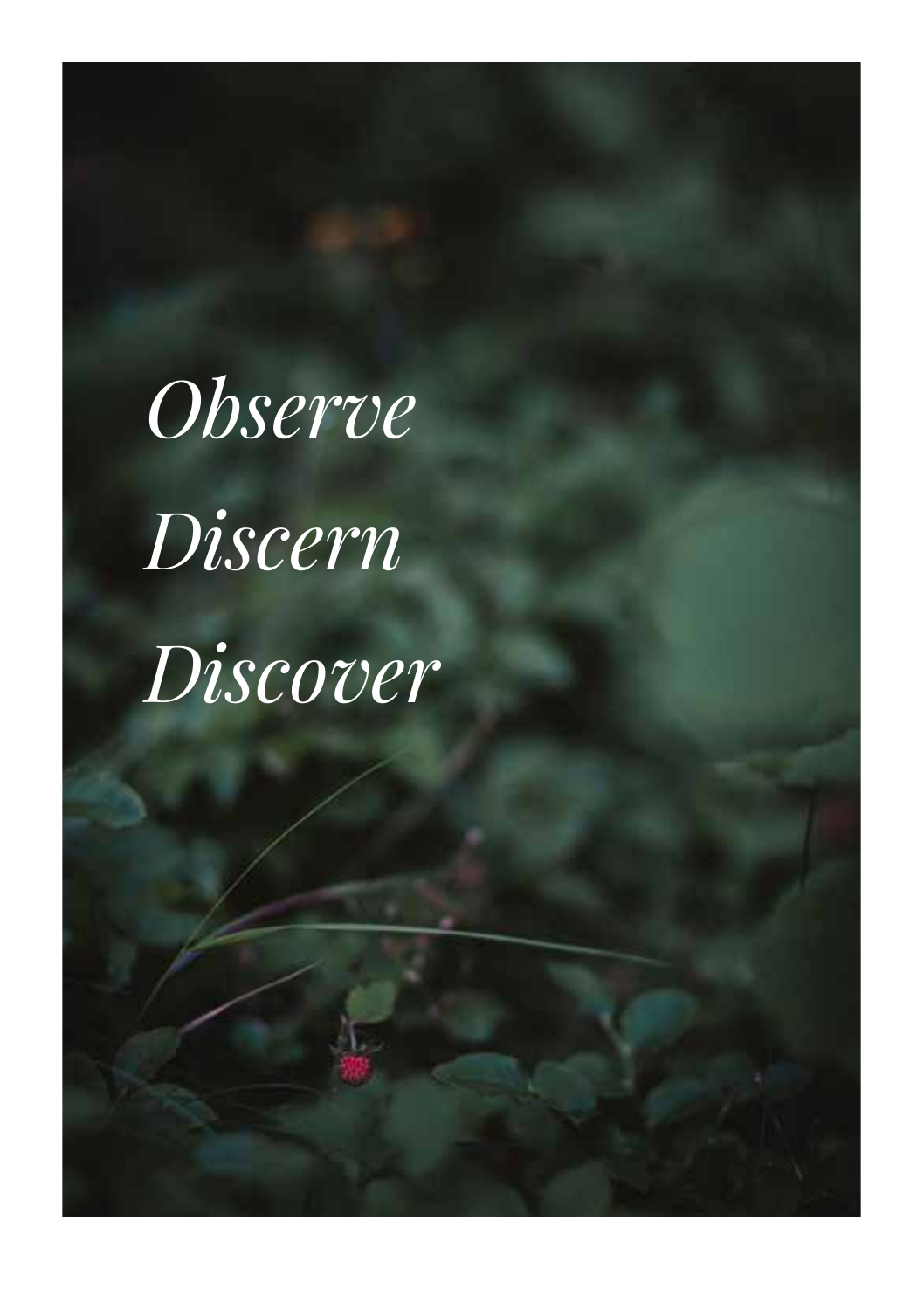# *Observe Discern Discover*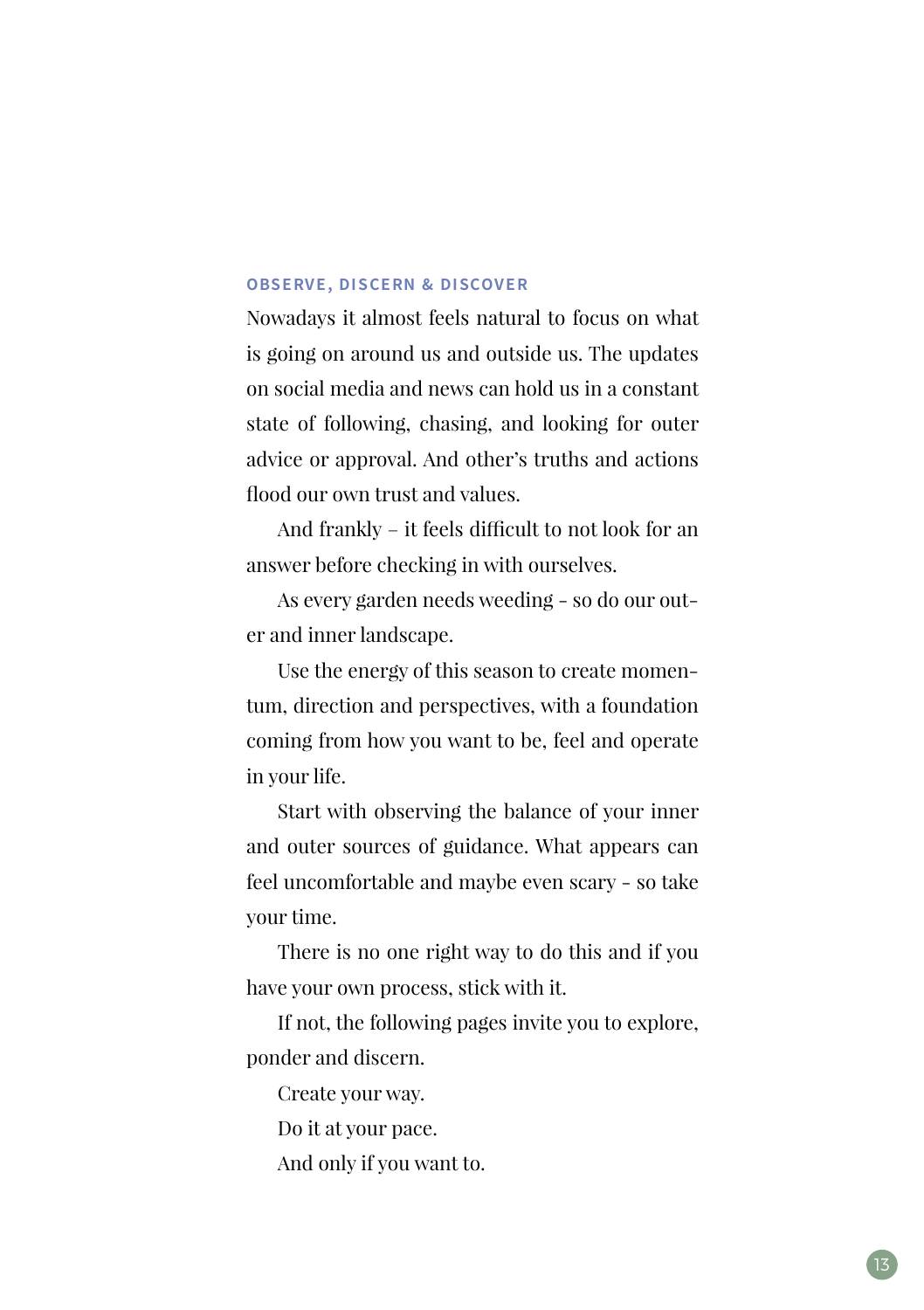### **OBSERVE, DISCERN & DISCOVER**

Nowadays it almost feels natural to focus on what is going on around us and outside us. The updates on social media and news can hold us in a constant state of following, chasing, and looking for outer advice or approval. And other's truths and actions flood our own trust and values.

And frankly – it feels difficult to not look for an answer before checking in with ourselves.

As every garden needs weeding - so do our outer and inner landscape.

Use the energy of this season to create momentum, direction and perspectives, with a foundation coming from how you want to be, feel and operate in your life.

Start with observing the balance of your inner and outer sources of guidance. What appears can feel uncomfortable and maybe even scary - so take your time.

There is no one right way to do this and if you have your own process, stick with it.

If not, the following pages invite you to explore, ponder and discern.

Create your way.

Do it at your pace.

And only if you want to.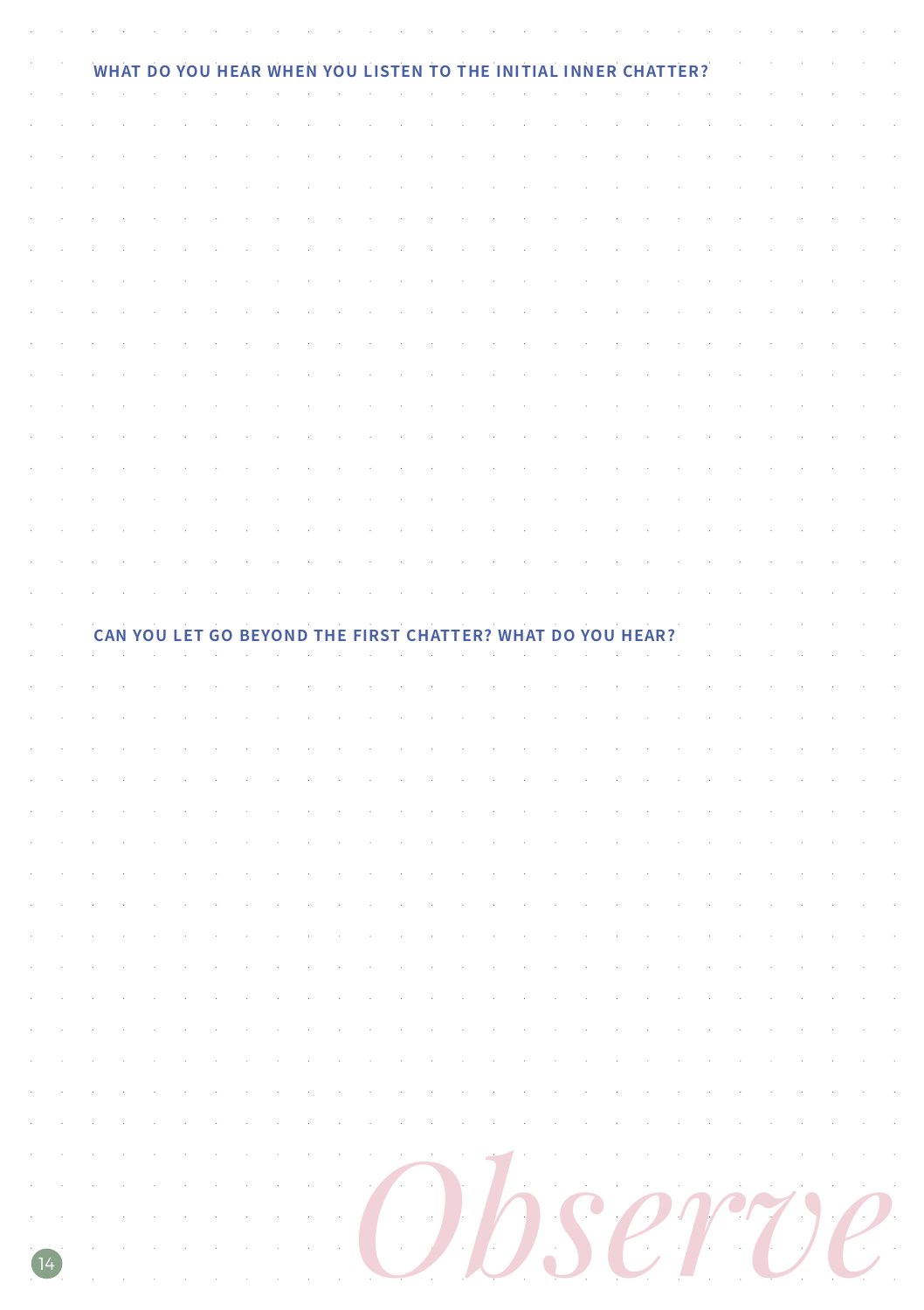|  |                                                                                                                       |  |  |  | WHAT DO YOU HEAR WHEN YOU LISTEN TO THE INITIAL INNER CHATTER?                                                |  |                                                                                                                                                                                                                                                                                                                                                                                                                                           |  |  |  |  |  |  |  |  |
|--|-----------------------------------------------------------------------------------------------------------------------|--|--|--|---------------------------------------------------------------------------------------------------------------|--|-------------------------------------------------------------------------------------------------------------------------------------------------------------------------------------------------------------------------------------------------------------------------------------------------------------------------------------------------------------------------------------------------------------------------------------------|--|--|--|--|--|--|--|--|
|  |                                                                                                                       |  |  |  |                                                                                                               |  |                                                                                                                                                                                                                                                                                                                                                                                                                                           |  |  |  |  |  |  |  |  |
|  |                                                                                                                       |  |  |  |                                                                                                               |  |                                                                                                                                                                                                                                                                                                                                                                                                                                           |  |  |  |  |  |  |  |  |
|  |                                                                                                                       |  |  |  |                                                                                                               |  |                                                                                                                                                                                                                                                                                                                                                                                                                                           |  |  |  |  |  |  |  |  |
|  |                                                                                                                       |  |  |  |                                                                                                               |  |                                                                                                                                                                                                                                                                                                                                                                                                                                           |  |  |  |  |  |  |  |  |
|  |                                                                                                                       |  |  |  |                                                                                                               |  |                                                                                                                                                                                                                                                                                                                                                                                                                                           |  |  |  |  |  |  |  |  |
|  |                                                                                                                       |  |  |  |                                                                                                               |  |                                                                                                                                                                                                                                                                                                                                                                                                                                           |  |  |  |  |  |  |  |  |
|  |                                                                                                                       |  |  |  |                                                                                                               |  |                                                                                                                                                                                                                                                                                                                                                                                                                                           |  |  |  |  |  |  |  |  |
|  |                                                                                                                       |  |  |  |                                                                                                               |  |                                                                                                                                                                                                                                                                                                                                                                                                                                           |  |  |  |  |  |  |  |  |
|  |                                                                                                                       |  |  |  |                                                                                                               |  |                                                                                                                                                                                                                                                                                                                                                                                                                                           |  |  |  |  |  |  |  |  |
|  |                                                                                                                       |  |  |  |                                                                                                               |  |                                                                                                                                                                                                                                                                                                                                                                                                                                           |  |  |  |  |  |  |  |  |
|  |                                                                                                                       |  |  |  |                                                                                                               |  |                                                                                                                                                                                                                                                                                                                                                                                                                                           |  |  |  |  |  |  |  |  |
|  |                                                                                                                       |  |  |  |                                                                                                               |  |                                                                                                                                                                                                                                                                                                                                                                                                                                           |  |  |  |  |  |  |  |  |
|  |                                                                                                                       |  |  |  |                                                                                                               |  |                                                                                                                                                                                                                                                                                                                                                                                                                                           |  |  |  |  |  |  |  |  |
|  |                                                                                                                       |  |  |  |                                                                                                               |  |                                                                                                                                                                                                                                                                                                                                                                                                                                           |  |  |  |  |  |  |  |  |
|  |                                                                                                                       |  |  |  |                                                                                                               |  |                                                                                                                                                                                                                                                                                                                                                                                                                                           |  |  |  |  |  |  |  |  |
|  |                                                                                                                       |  |  |  |                                                                                                               |  |                                                                                                                                                                                                                                                                                                                                                                                                                                           |  |  |  |  |  |  |  |  |
|  |                                                                                                                       |  |  |  | <b>CAN YOU LET GO BEYOND THE FIRST CHATTER? WHAT DO YOU HEAR?</b>                                             |  |                                                                                                                                                                                                                                                                                                                                                                                                                                           |  |  |  |  |  |  |  |  |
|  |                                                                                                                       |  |  |  |                                                                                                               |  |                                                                                                                                                                                                                                                                                                                                                                                                                                           |  |  |  |  |  |  |  |  |
|  |                                                                                                                       |  |  |  |                                                                                                               |  |                                                                                                                                                                                                                                                                                                                                                                                                                                           |  |  |  |  |  |  |  |  |
|  |                                                                                                                       |  |  |  |                                                                                                               |  |                                                                                                                                                                                                                                                                                                                                                                                                                                           |  |  |  |  |  |  |  |  |
|  |                                                                                                                       |  |  |  |                                                                                                               |  |                                                                                                                                                                                                                                                                                                                                                                                                                                           |  |  |  |  |  |  |  |  |
|  |                                                                                                                       |  |  |  |                                                                                                               |  |                                                                                                                                                                                                                                                                                                                                                                                                                                           |  |  |  |  |  |  |  |  |
|  |                                                                                                                       |  |  |  |                                                                                                               |  |                                                                                                                                                                                                                                                                                                                                                                                                                                           |  |  |  |  |  |  |  |  |
|  |                                                                                                                       |  |  |  |                                                                                                               |  |                                                                                                                                                                                                                                                                                                                                                                                                                                           |  |  |  |  |  |  |  |  |
|  |                                                                                                                       |  |  |  |                                                                                                               |  |                                                                                                                                                                                                                                                                                                                                                                                                                                           |  |  |  |  |  |  |  |  |
|  |                                                                                                                       |  |  |  |                                                                                                               |  |                                                                                                                                                                                                                                                                                                                                                                                                                                           |  |  |  |  |  |  |  |  |
|  |                                                                                                                       |  |  |  |                                                                                                               |  |                                                                                                                                                                                                                                                                                                                                                                                                                                           |  |  |  |  |  |  |  |  |
|  |                                                                                                                       |  |  |  |                                                                                                               |  |                                                                                                                                                                                                                                                                                                                                                                                                                                           |  |  |  |  |  |  |  |  |
|  |                                                                                                                       |  |  |  |                                                                                                               |  |                                                                                                                                                                                                                                                                                                                                                                                                                                           |  |  |  |  |  |  |  |  |
|  |                                                                                                                       |  |  |  | والمعاون والمعاون والمستقيل والمعارض والمتعاون والمعاون والمعاون والمعاون والمعاون والمعاون والمعاون والمعاون |  |                                                                                                                                                                                                                                                                                                                                                                                                                                           |  |  |  |  |  |  |  |  |
|  | والمتعارض والمتعارض والمتعارف والمتعارض والمتعارض والمعارض والمتعارض والمعارض والمعارض والمعارض والمتعارض             |  |  |  |                                                                                                               |  |                                                                                                                                                                                                                                                                                                                                                                                                                                           |  |  |  |  |  |  |  |  |
|  | والقاربة القاربة القرارة القرارة الفراغ القرارة الفراغ والقرارة الفراغ والقرارة الفراغ الفراغ والفراغ الفراغ والقرارة |  |  |  |                                                                                                               |  |                                                                                                                                                                                                                                                                                                                                                                                                                                           |  |  |  |  |  |  |  |  |
|  |                                                                                                                       |  |  |  | that is a simple property of the state of the state of the state of the state of the state of the             |  |                                                                                                                                                                                                                                                                                                                                                                                                                                           |  |  |  |  |  |  |  |  |
|  |                                                                                                                       |  |  |  |                                                                                                               |  | $\label{eq:2.1} \frac{1}{\sqrt{2}}\left(\frac{1}{\sqrt{2}}\right)^{2}=\frac{1}{\sqrt{2}}\left(\frac{1}{\sqrt{2}}\right)^{2}=\frac{1}{\sqrt{2}}\left(\frac{1}{\sqrt{2}}\right)^{2}=\frac{1}{\sqrt{2}}\left(\frac{1}{\sqrt{2}}\right)^{2}=\frac{1}{\sqrt{2}}\left(\frac{1}{\sqrt{2}}\right)^{2}=\frac{1}{\sqrt{2}}\left(\frac{1}{\sqrt{2}}\right)^{2}=\frac{1}{\sqrt{2}}\left(\frac{1}{\sqrt{2}}\right)^{2}=\frac{1}{\sqrt{2}}\left(\frac{$ |  |  |  |  |  |  |  |  |
|  |                                                                                                                       |  |  |  |                                                                                                               |  |                                                                                                                                                                                                                                                                                                                                                                                                                                           |  |  |  |  |  |  |  |  |
|  |                                                                                                                       |  |  |  |                                                                                                               |  |                                                                                                                                                                                                                                                                                                                                                                                                                                           |  |  |  |  |  |  |  |  |
|  | · Observe                                                                                                             |  |  |  |                                                                                                               |  |                                                                                                                                                                                                                                                                                                                                                                                                                                           |  |  |  |  |  |  |  |  |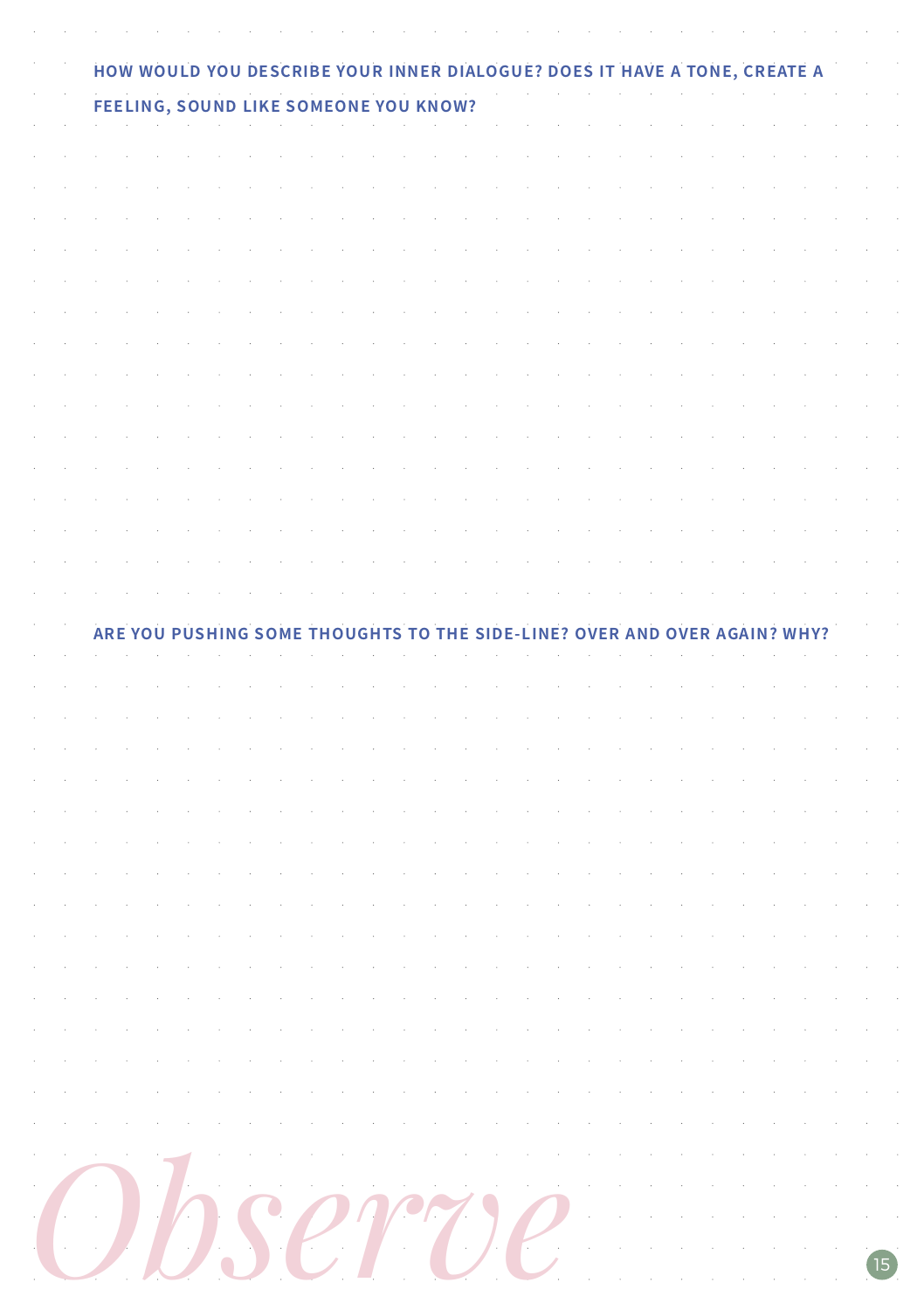|  |                                       |  |  |  |  |  | HOW WOULD YOU DESCRIBE YOUR INNER DIALOGUE? DOES IT HAVE A TONE, CREATE A |  |  |  |  |  |    |  |
|--|---------------------------------------|--|--|--|--|--|---------------------------------------------------------------------------|--|--|--|--|--|----|--|
|  | FEELING, SOUND LIKE SOMEONE YOU KNOW? |  |  |  |  |  |                                                                           |  |  |  |  |  |    |  |
|  |                                       |  |  |  |  |  |                                                                           |  |  |  |  |  |    |  |
|  |                                       |  |  |  |  |  |                                                                           |  |  |  |  |  |    |  |
|  |                                       |  |  |  |  |  |                                                                           |  |  |  |  |  |    |  |
|  |                                       |  |  |  |  |  |                                                                           |  |  |  |  |  |    |  |
|  |                                       |  |  |  |  |  |                                                                           |  |  |  |  |  |    |  |
|  |                                       |  |  |  |  |  |                                                                           |  |  |  |  |  |    |  |
|  |                                       |  |  |  |  |  |                                                                           |  |  |  |  |  |    |  |
|  |                                       |  |  |  |  |  |                                                                           |  |  |  |  |  |    |  |
|  |                                       |  |  |  |  |  |                                                                           |  |  |  |  |  |    |  |
|  |                                       |  |  |  |  |  |                                                                           |  |  |  |  |  |    |  |
|  |                                       |  |  |  |  |  |                                                                           |  |  |  |  |  |    |  |
|  |                                       |  |  |  |  |  |                                                                           |  |  |  |  |  |    |  |
|  |                                       |  |  |  |  |  |                                                                           |  |  |  |  |  |    |  |
|  |                                       |  |  |  |  |  |                                                                           |  |  |  |  |  |    |  |
|  |                                       |  |  |  |  |  |                                                                           |  |  |  |  |  |    |  |
|  |                                       |  |  |  |  |  |                                                                           |  |  |  |  |  |    |  |
|  |                                       |  |  |  |  |  | ARE YOU PUSHING SOME THOUGHTS TO THE SIDE-LINE? OVER AND OVER AGAIN? WHY? |  |  |  |  |  |    |  |
|  |                                       |  |  |  |  |  |                                                                           |  |  |  |  |  |    |  |
|  |                                       |  |  |  |  |  |                                                                           |  |  |  |  |  |    |  |
|  |                                       |  |  |  |  |  |                                                                           |  |  |  |  |  |    |  |
|  |                                       |  |  |  |  |  |                                                                           |  |  |  |  |  |    |  |
|  |                                       |  |  |  |  |  |                                                                           |  |  |  |  |  |    |  |
|  |                                       |  |  |  |  |  |                                                                           |  |  |  |  |  |    |  |
|  |                                       |  |  |  |  |  |                                                                           |  |  |  |  |  |    |  |
|  |                                       |  |  |  |  |  |                                                                           |  |  |  |  |  |    |  |
|  |                                       |  |  |  |  |  |                                                                           |  |  |  |  |  |    |  |
|  |                                       |  |  |  |  |  |                                                                           |  |  |  |  |  |    |  |
|  |                                       |  |  |  |  |  |                                                                           |  |  |  |  |  |    |  |
|  |                                       |  |  |  |  |  |                                                                           |  |  |  |  |  |    |  |
|  |                                       |  |  |  |  |  |                                                                           |  |  |  |  |  |    |  |
|  |                                       |  |  |  |  |  |                                                                           |  |  |  |  |  |    |  |
|  |                                       |  |  |  |  |  |                                                                           |  |  |  |  |  |    |  |
|  |                                       |  |  |  |  |  |                                                                           |  |  |  |  |  |    |  |
|  |                                       |  |  |  |  |  |                                                                           |  |  |  |  |  |    |  |
|  |                                       |  |  |  |  |  |                                                                           |  |  |  |  |  |    |  |
|  |                                       |  |  |  |  |  |                                                                           |  |  |  |  |  |    |  |
|  |                                       |  |  |  |  |  |                                                                           |  |  |  |  |  |    |  |
|  |                                       |  |  |  |  |  | Observe                                                                   |  |  |  |  |  | 15 |  |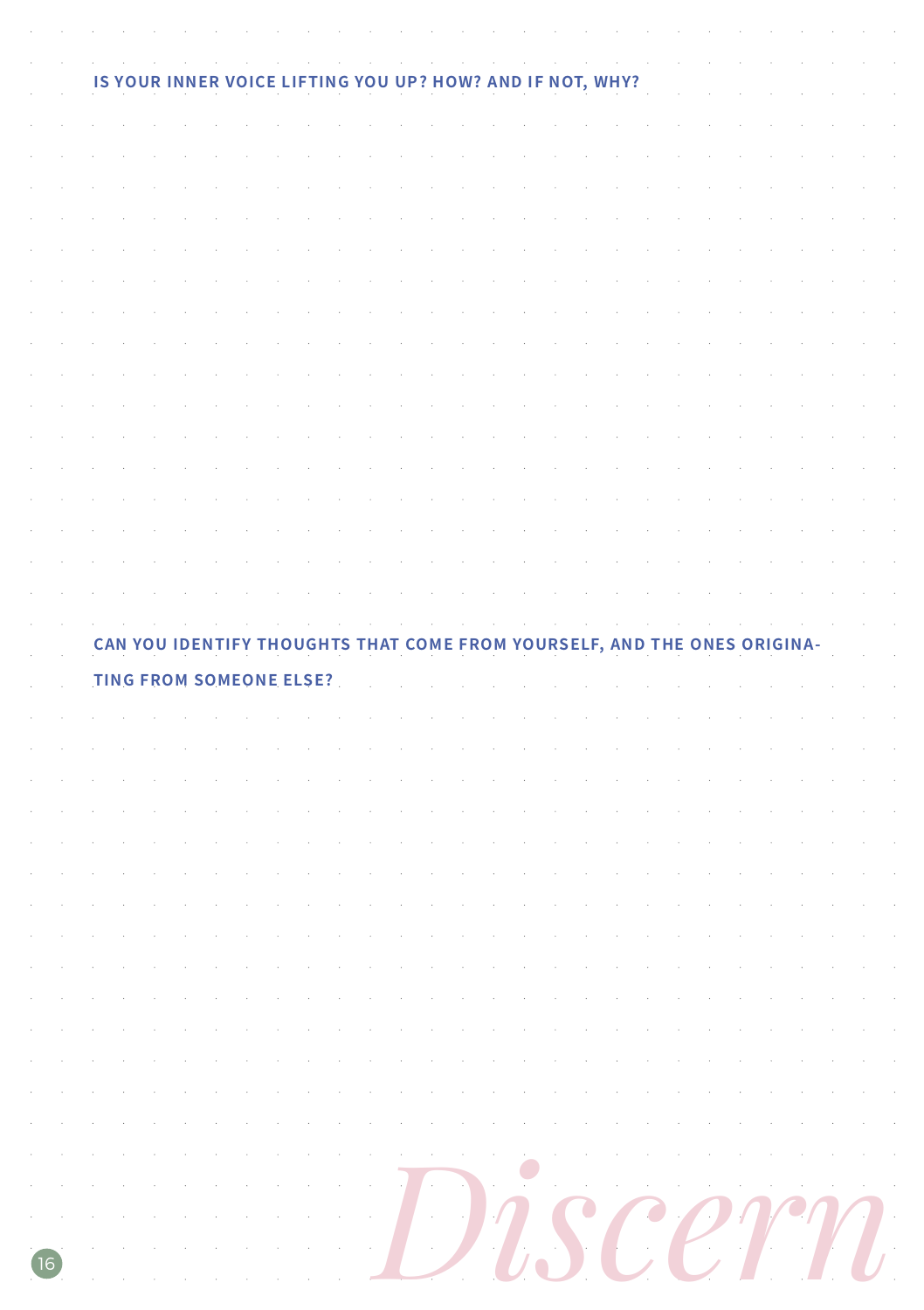| <b>IS YOUR INN</b><br><b>HOW? AND IF NOT, WHY?</b><br>CAN YOU IDENTIFY THOUGHTS THAT COME FROM YOURSELF, AND THE ONES ORIGINA-<br>TING FROM SOMEONE ELSE? |  |  |  |  |  |  |  |  |  |  |  |  |  |  |  |
|-----------------------------------------------------------------------------------------------------------------------------------------------------------|--|--|--|--|--|--|--|--|--|--|--|--|--|--|--|
|                                                                                                                                                           |  |  |  |  |  |  |  |  |  |  |  |  |  |  |  |
|                                                                                                                                                           |  |  |  |  |  |  |  |  |  |  |  |  |  |  |  |
|                                                                                                                                                           |  |  |  |  |  |  |  |  |  |  |  |  |  |  |  |
|                                                                                                                                                           |  |  |  |  |  |  |  |  |  |  |  |  |  |  |  |
|                                                                                                                                                           |  |  |  |  |  |  |  |  |  |  |  |  |  |  |  |
|                                                                                                                                                           |  |  |  |  |  |  |  |  |  |  |  |  |  |  |  |
|                                                                                                                                                           |  |  |  |  |  |  |  |  |  |  |  |  |  |  |  |
|                                                                                                                                                           |  |  |  |  |  |  |  |  |  |  |  |  |  |  |  |
|                                                                                                                                                           |  |  |  |  |  |  |  |  |  |  |  |  |  |  |  |
|                                                                                                                                                           |  |  |  |  |  |  |  |  |  |  |  |  |  |  |  |
|                                                                                                                                                           |  |  |  |  |  |  |  |  |  |  |  |  |  |  |  |
|                                                                                                                                                           |  |  |  |  |  |  |  |  |  |  |  |  |  |  |  |
|                                                                                                                                                           |  |  |  |  |  |  |  |  |  |  |  |  |  |  |  |
|                                                                                                                                                           |  |  |  |  |  |  |  |  |  |  |  |  |  |  |  |
|                                                                                                                                                           |  |  |  |  |  |  |  |  |  |  |  |  |  |  |  |
|                                                                                                                                                           |  |  |  |  |  |  |  |  |  |  |  |  |  |  |  |
|                                                                                                                                                           |  |  |  |  |  |  |  |  |  |  |  |  |  |  |  |
|                                                                                                                                                           |  |  |  |  |  |  |  |  |  |  |  |  |  |  |  |
|                                                                                                                                                           |  |  |  |  |  |  |  |  |  |  |  |  |  |  |  |
|                                                                                                                                                           |  |  |  |  |  |  |  |  |  |  |  |  |  |  |  |
|                                                                                                                                                           |  |  |  |  |  |  |  |  |  |  |  |  |  |  |  |
|                                                                                                                                                           |  |  |  |  |  |  |  |  |  |  |  |  |  |  |  |
|                                                                                                                                                           |  |  |  |  |  |  |  |  |  |  |  |  |  |  |  |
|                                                                                                                                                           |  |  |  |  |  |  |  |  |  |  |  |  |  |  |  |
|                                                                                                                                                           |  |  |  |  |  |  |  |  |  |  |  |  |  |  |  |
|                                                                                                                                                           |  |  |  |  |  |  |  |  |  |  |  |  |  |  |  |
|                                                                                                                                                           |  |  |  |  |  |  |  |  |  |  |  |  |  |  |  |
|                                                                                                                                                           |  |  |  |  |  |  |  |  |  |  |  |  |  |  |  |
|                                                                                                                                                           |  |  |  |  |  |  |  |  |  |  |  |  |  |  |  |
|                                                                                                                                                           |  |  |  |  |  |  |  |  |  |  |  |  |  |  |  |
|                                                                                                                                                           |  |  |  |  |  |  |  |  |  |  |  |  |  |  |  |
| المحافظ والمستقر والمتعارض والمتعارض والمتعارض والمتعارض والمتعارض والمتعارض والمتعارض والمتعارض والمتعارض                                                |  |  |  |  |  |  |  |  |  |  |  |  |  |  |  |
|                                                                                                                                                           |  |  |  |  |  |  |  |  |  |  |  |  |  |  |  |
| the contract of the contract of the contract of the contract of the contract of the contract of                                                           |  |  |  |  |  |  |  |  |  |  |  |  |  |  |  |
| the contract of the contract of the contract of the                                                                                                       |  |  |  |  |  |  |  |  |  |  |  |  |  |  |  |
| $\mathcal{A}$ and $\mathcal{A}$ are the set of the set of the set of $\mathcal{A}$                                                                        |  |  |  |  |  |  |  |  |  |  |  |  |  |  |  |
|                                                                                                                                                           |  |  |  |  |  |  |  |  |  |  |  |  |  |  |  |
|                                                                                                                                                           |  |  |  |  |  |  |  |  |  |  |  |  |  |  |  |
|                                                                                                                                                           |  |  |  |  |  |  |  |  |  |  |  |  |  |  |  |
| Discern<br>16                                                                                                                                             |  |  |  |  |  |  |  |  |  |  |  |  |  |  |  |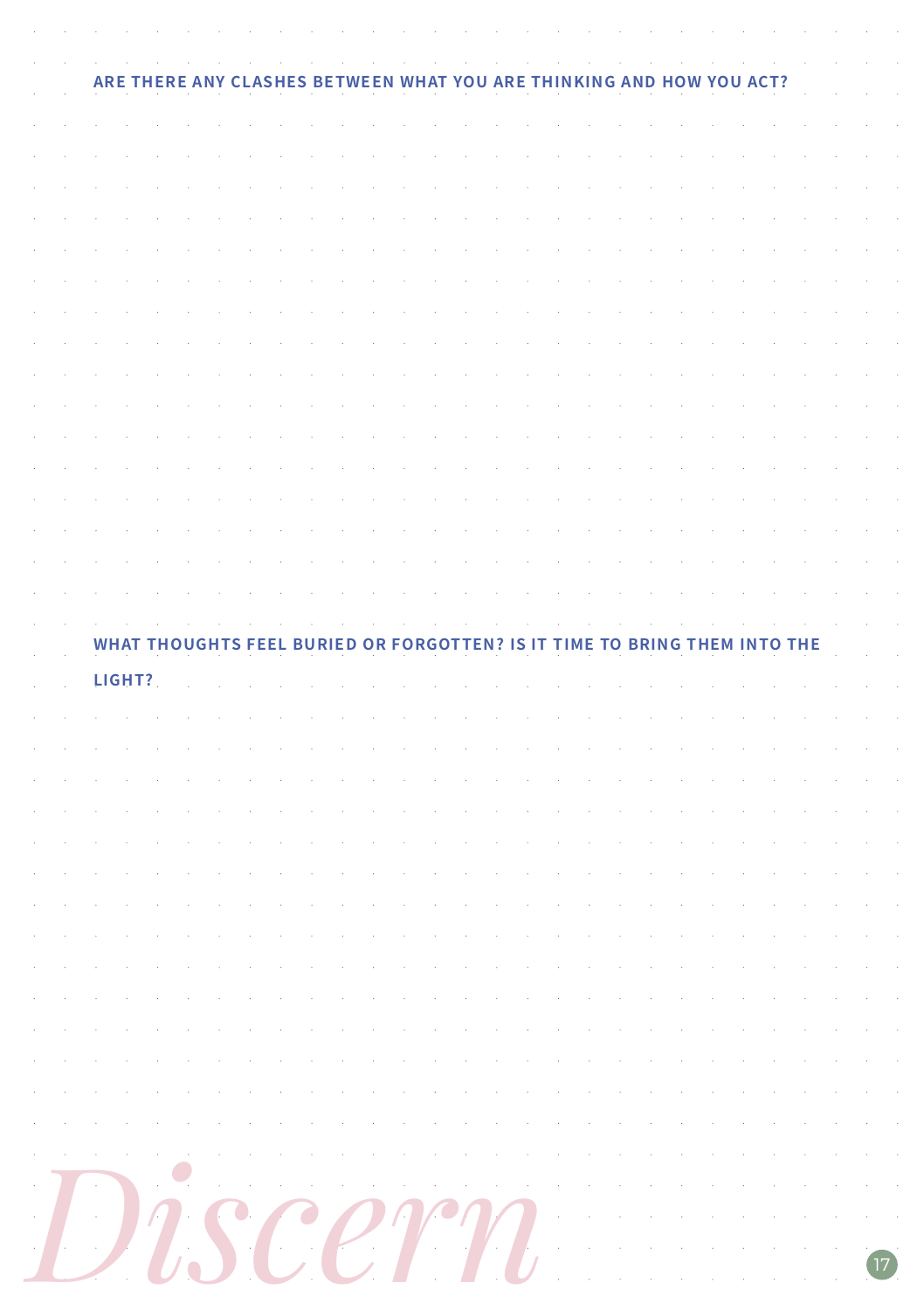|  |        |  |                                     |  |                                  |  |  | ARE THERE ANY CLASHES BETWEEN WHAT YOU ARE THINKING AND HOW YOU ACT?                                                |  |  |                             |                                                 |  |  |                          |        |
|--|--------|--|-------------------------------------|--|----------------------------------|--|--|---------------------------------------------------------------------------------------------------------------------|--|--|-----------------------------|-------------------------------------------------|--|--|--------------------------|--------|
|  |        |  |                                     |  |                                  |  |  |                                                                                                                     |  |  |                             |                                                 |  |  |                          |        |
|  |        |  |                                     |  |                                  |  |  |                                                                                                                     |  |  |                             |                                                 |  |  |                          |        |
|  |        |  |                                     |  |                                  |  |  |                                                                                                                     |  |  |                             |                                                 |  |  |                          |        |
|  |        |  |                                     |  |                                  |  |  |                                                                                                                     |  |  |                             |                                                 |  |  |                          |        |
|  |        |  |                                     |  |                                  |  |  |                                                                                                                     |  |  |                             |                                                 |  |  |                          |        |
|  |        |  |                                     |  |                                  |  |  |                                                                                                                     |  |  |                             |                                                 |  |  |                          |        |
|  |        |  |                                     |  |                                  |  |  |                                                                                                                     |  |  |                             |                                                 |  |  |                          |        |
|  |        |  |                                     |  |                                  |  |  |                                                                                                                     |  |  |                             |                                                 |  |  |                          |        |
|  |        |  |                                     |  |                                  |  |  |                                                                                                                     |  |  |                             |                                                 |  |  |                          |        |
|  |        |  |                                     |  |                                  |  |  |                                                                                                                     |  |  |                             |                                                 |  |  |                          |        |
|  |        |  |                                     |  |                                  |  |  |                                                                                                                     |  |  |                             |                                                 |  |  |                          |        |
|  |        |  |                                     |  |                                  |  |  |                                                                                                                     |  |  |                             |                                                 |  |  |                          |        |
|  |        |  |                                     |  |                                  |  |  |                                                                                                                     |  |  |                             |                                                 |  |  |                          |        |
|  |        |  |                                     |  |                                  |  |  |                                                                                                                     |  |  |                             |                                                 |  |  |                          |        |
|  |        |  |                                     |  |                                  |  |  |                                                                                                                     |  |  |                             |                                                 |  |  |                          |        |
|  |        |  |                                     |  |                                  |  |  |                                                                                                                     |  |  |                             |                                                 |  |  |                          |        |
|  |        |  |                                     |  |                                  |  |  |                                                                                                                     |  |  |                             |                                                 |  |  |                          |        |
|  |        |  |                                     |  | <b>WHAT THOUGHTS FEEL BURIED</b> |  |  | <b>OR FORGOTTEN? IS IT</b>                                                                                          |  |  | TIME TO BRING THEM INTO THE |                                                 |  |  |                          |        |
|  |        |  |                                     |  |                                  |  |  |                                                                                                                     |  |  |                             |                                                 |  |  |                          |        |
|  | LIGHT? |  |                                     |  |                                  |  |  |                                                                                                                     |  |  |                             |                                                 |  |  |                          |        |
|  |        |  |                                     |  |                                  |  |  |                                                                                                                     |  |  |                             |                                                 |  |  |                          |        |
|  |        |  |                                     |  |                                  |  |  |                                                                                                                     |  |  |                             |                                                 |  |  |                          |        |
|  |        |  |                                     |  |                                  |  |  |                                                                                                                     |  |  |                             |                                                 |  |  |                          |        |
|  |        |  |                                     |  |                                  |  |  |                                                                                                                     |  |  |                             |                                                 |  |  |                          |        |
|  |        |  |                                     |  |                                  |  |  |                                                                                                                     |  |  |                             |                                                 |  |  |                          |        |
|  |        |  |                                     |  |                                  |  |  |                                                                                                                     |  |  |                             |                                                 |  |  |                          |        |
|  |        |  |                                     |  |                                  |  |  |                                                                                                                     |  |  |                             |                                                 |  |  |                          |        |
|  |        |  |                                     |  |                                  |  |  |                                                                                                                     |  |  |                             |                                                 |  |  |                          |        |
|  |        |  |                                     |  |                                  |  |  |                                                                                                                     |  |  |                             |                                                 |  |  |                          |        |
|  |        |  |                                     |  |                                  |  |  |                                                                                                                     |  |  |                             |                                                 |  |  |                          |        |
|  |        |  |                                     |  |                                  |  |  | الحارف والمعارف والمعارف والمرابع المعارف والمعارف والمعارف والمعارف والمعارف والقارف والمعارف والمعارف             |  |  |                             |                                                 |  |  |                          |        |
|  |        |  |                                     |  |                                  |  |  | المقاربة والمقاربة والمقاربة والمقاربة والمقاربة والقاربة والمقاربة والقاربة والمقاربة والمقاربة والمقاربة والمقار  |  |  |                             |                                                 |  |  |                          | $\sim$ |
|  |        |  |                                     |  |                                  |  |  | the contract of the contract of the contract of the contract of the contract of the contract of the contract of the |  |  |                             |                                                 |  |  | $\sim 10^{-1}$ m $^{-1}$ |        |
|  |        |  | the contract of the contract of the |  |                                  |  |  | والمتواصل والمستقيل والمستقيل والمستقيل والمستقيل والمستقيل والمستقيل والمستقيل والمستقيل والمستقيل والمستقيل       |  |  |                             |                                                 |  |  |                          |        |
|  |        |  |                                     |  |                                  |  |  | the second contract of the contract of the contract of                                                              |  |  |                             |                                                 |  |  |                          |        |
|  |        |  |                                     |  |                                  |  |  | $\mathcal{A}$ is a simple polarization of the simple space of $\mathcal{A}$ , and $\mathcal{A}$                     |  |  |                             | the second control of the second control of the |  |  |                          |        |
|  |        |  |                                     |  |                                  |  |  |                                                                                                                     |  |  |                             |                                                 |  |  |                          |        |
|  |        |  |                                     |  |                                  |  |  |                                                                                                                     |  |  |                             |                                                 |  |  |                          |        |
|  |        |  |                                     |  |                                  |  |  | <i>Discern</i>                                                                                                      |  |  |                             |                                                 |  |  | $\left[17\right]$        |        |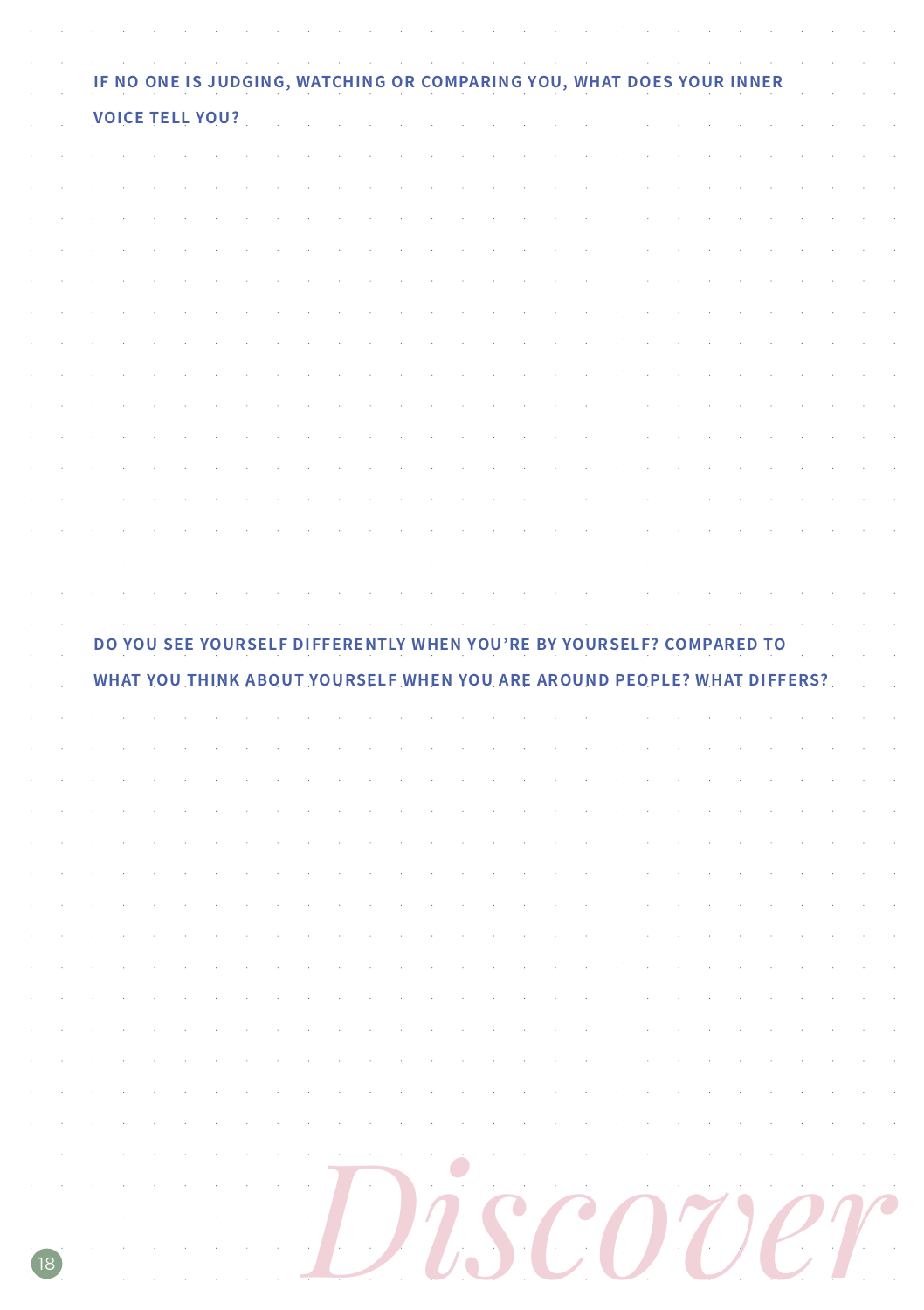|    |  |                        |  |  |  |                    |                          |  |  |  | IF NO ONE IS JUDGING, WATCHING OR COMPARING YOU, WHAT DOES YOUR INNER                                   |  |  |  |  |
|----|--|------------------------|--|--|--|--------------------|--------------------------|--|--|--|---------------------------------------------------------------------------------------------------------|--|--|--|--|
|    |  | <b>VOICE TELL YOU?</b> |  |  |  |                    |                          |  |  |  |                                                                                                         |  |  |  |  |
|    |  |                        |  |  |  |                    |                          |  |  |  |                                                                                                         |  |  |  |  |
|    |  |                        |  |  |  |                    |                          |  |  |  |                                                                                                         |  |  |  |  |
|    |  |                        |  |  |  |                    |                          |  |  |  |                                                                                                         |  |  |  |  |
|    |  |                        |  |  |  |                    |                          |  |  |  |                                                                                                         |  |  |  |  |
|    |  |                        |  |  |  |                    |                          |  |  |  |                                                                                                         |  |  |  |  |
|    |  |                        |  |  |  |                    |                          |  |  |  |                                                                                                         |  |  |  |  |
|    |  |                        |  |  |  |                    |                          |  |  |  |                                                                                                         |  |  |  |  |
|    |  |                        |  |  |  |                    |                          |  |  |  |                                                                                                         |  |  |  |  |
|    |  |                        |  |  |  |                    |                          |  |  |  |                                                                                                         |  |  |  |  |
|    |  |                        |  |  |  |                    |                          |  |  |  |                                                                                                         |  |  |  |  |
|    |  |                        |  |  |  |                    |                          |  |  |  |                                                                                                         |  |  |  |  |
|    |  |                        |  |  |  |                    |                          |  |  |  |                                                                                                         |  |  |  |  |
|    |  |                        |  |  |  |                    |                          |  |  |  |                                                                                                         |  |  |  |  |
|    |  |                        |  |  |  |                    |                          |  |  |  |                                                                                                         |  |  |  |  |
|    |  |                        |  |  |  |                    |                          |  |  |  |                                                                                                         |  |  |  |  |
|    |  |                        |  |  |  |                    |                          |  |  |  |                                                                                                         |  |  |  |  |
|    |  |                        |  |  |  |                    |                          |  |  |  |                                                                                                         |  |  |  |  |
|    |  |                        |  |  |  |                    |                          |  |  |  | DO YOU SEE YOURSELF DIFFERENTLY WHEN YOU'RE BY YOURSELF? COMPARED TO                                    |  |  |  |  |
|    |  |                        |  |  |  |                    |                          |  |  |  |                                                                                                         |  |  |  |  |
|    |  |                        |  |  |  |                    |                          |  |  |  | WHAT YOU THINK ABOUT YOURSELF WHEN YOU ARE AROUND PEOPLE? WHAT DIFFERS?                                 |  |  |  |  |
|    |  |                        |  |  |  |                    |                          |  |  |  |                                                                                                         |  |  |  |  |
|    |  |                        |  |  |  |                    |                          |  |  |  |                                                                                                         |  |  |  |  |
|    |  |                        |  |  |  |                    |                          |  |  |  |                                                                                                         |  |  |  |  |
|    |  |                        |  |  |  |                    |                          |  |  |  |                                                                                                         |  |  |  |  |
|    |  |                        |  |  |  |                    |                          |  |  |  |                                                                                                         |  |  |  |  |
|    |  |                        |  |  |  |                    |                          |  |  |  |                                                                                                         |  |  |  |  |
|    |  |                        |  |  |  |                    |                          |  |  |  |                                                                                                         |  |  |  |  |
|    |  |                        |  |  |  |                    |                          |  |  |  |                                                                                                         |  |  |  |  |
|    |  |                        |  |  |  |                    |                          |  |  |  |                                                                                                         |  |  |  |  |
|    |  |                        |  |  |  |                    |                          |  |  |  |                                                                                                         |  |  |  |  |
|    |  |                        |  |  |  |                    |                          |  |  |  |                                                                                                         |  |  |  |  |
|    |  |                        |  |  |  |                    |                          |  |  |  | the contract of the contract of the contract of the contract of the contract of the contract of the     |  |  |  |  |
|    |  |                        |  |  |  |                    |                          |  |  |  |                                                                                                         |  |  |  |  |
|    |  |                        |  |  |  |                    |                          |  |  |  |                                                                                                         |  |  |  |  |
|    |  |                        |  |  |  | and the control of |                          |  |  |  |                                                                                                         |  |  |  |  |
|    |  |                        |  |  |  |                    |                          |  |  |  |                                                                                                         |  |  |  |  |
|    |  |                        |  |  |  |                    | $\overline{\phantom{a}}$ |  |  |  |                                                                                                         |  |  |  |  |
|    |  |                        |  |  |  |                    |                          |  |  |  | $\mathcal{O}(10^{-10})$ . The second constraints of the second constraints of the second constraints of |  |  |  |  |
|    |  |                        |  |  |  |                    |                          |  |  |  |                                                                                                         |  |  |  |  |
| 18 |  |                        |  |  |  |                    |                          |  |  |  | Discover                                                                                                |  |  |  |  |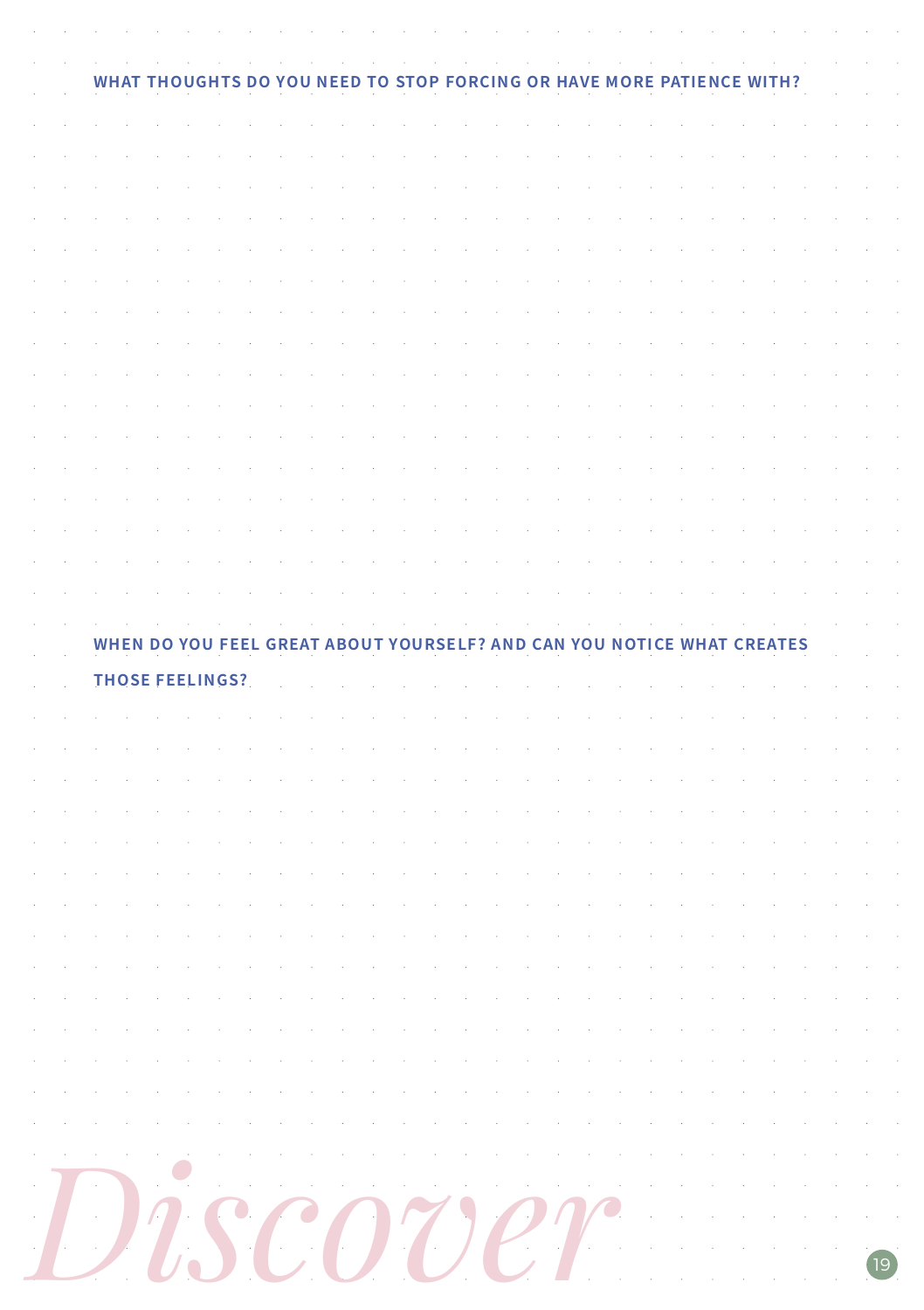|  |  |                 |  |  |                                     |  |  |  | WHAT THOUGHTS DO YOU NEED TO STOP FORCING OR HAVE MORE PATIENCE WITH?                                                                |  |   |  |                     |  |                               |  |
|--|--|-----------------|--|--|-------------------------------------|--|--|--|--------------------------------------------------------------------------------------------------------------------------------------|--|---|--|---------------------|--|-------------------------------|--|
|  |  |                 |  |  |                                     |  |  |  |                                                                                                                                      |  |   |  |                     |  |                               |  |
|  |  |                 |  |  |                                     |  |  |  |                                                                                                                                      |  |   |  |                     |  |                               |  |
|  |  |                 |  |  |                                     |  |  |  |                                                                                                                                      |  |   |  |                     |  |                               |  |
|  |  |                 |  |  |                                     |  |  |  |                                                                                                                                      |  |   |  |                     |  |                               |  |
|  |  |                 |  |  |                                     |  |  |  |                                                                                                                                      |  |   |  |                     |  |                               |  |
|  |  |                 |  |  |                                     |  |  |  |                                                                                                                                      |  |   |  |                     |  |                               |  |
|  |  |                 |  |  |                                     |  |  |  |                                                                                                                                      |  |   |  |                     |  |                               |  |
|  |  |                 |  |  |                                     |  |  |  |                                                                                                                                      |  |   |  |                     |  |                               |  |
|  |  |                 |  |  |                                     |  |  |  |                                                                                                                                      |  |   |  |                     |  |                               |  |
|  |  |                 |  |  |                                     |  |  |  |                                                                                                                                      |  |   |  |                     |  |                               |  |
|  |  |                 |  |  |                                     |  |  |  |                                                                                                                                      |  |   |  |                     |  |                               |  |
|  |  |                 |  |  |                                     |  |  |  |                                                                                                                                      |  |   |  |                     |  |                               |  |
|  |  |                 |  |  |                                     |  |  |  |                                                                                                                                      |  |   |  |                     |  |                               |  |
|  |  |                 |  |  |                                     |  |  |  |                                                                                                                                      |  |   |  |                     |  |                               |  |
|  |  |                 |  |  |                                     |  |  |  |                                                                                                                                      |  |   |  |                     |  |                               |  |
|  |  |                 |  |  |                                     |  |  |  |                                                                                                                                      |  |   |  |                     |  |                               |  |
|  |  |                 |  |  |                                     |  |  |  |                                                                                                                                      |  |   |  |                     |  |                               |  |
|  |  |                 |  |  |                                     |  |  |  |                                                                                                                                      |  |   |  |                     |  |                               |  |
|  |  |                 |  |  | <b>WHEN DO YOU FEEL GREAT ABOUT</b> |  |  |  | <b>RSELF? AND CAN YOU N</b>                                                                                                          |  | Е |  | <b>WHAT CREATES</b> |  |                               |  |
|  |  | THOSE FEELINGS? |  |  |                                     |  |  |  |                                                                                                                                      |  |   |  |                     |  |                               |  |
|  |  |                 |  |  |                                     |  |  |  |                                                                                                                                      |  |   |  |                     |  |                               |  |
|  |  |                 |  |  |                                     |  |  |  |                                                                                                                                      |  |   |  |                     |  |                               |  |
|  |  |                 |  |  |                                     |  |  |  |                                                                                                                                      |  |   |  |                     |  |                               |  |
|  |  |                 |  |  |                                     |  |  |  |                                                                                                                                      |  |   |  |                     |  |                               |  |
|  |  |                 |  |  |                                     |  |  |  |                                                                                                                                      |  |   |  |                     |  |                               |  |
|  |  |                 |  |  |                                     |  |  |  |                                                                                                                                      |  |   |  |                     |  |                               |  |
|  |  |                 |  |  |                                     |  |  |  |                                                                                                                                      |  |   |  |                     |  |                               |  |
|  |  |                 |  |  |                                     |  |  |  |                                                                                                                                      |  |   |  |                     |  |                               |  |
|  |  |                 |  |  |                                     |  |  |  |                                                                                                                                      |  |   |  |                     |  |                               |  |
|  |  |                 |  |  |                                     |  |  |  |                                                                                                                                      |  |   |  |                     |  |                               |  |
|  |  |                 |  |  |                                     |  |  |  |                                                                                                                                      |  |   |  |                     |  |                               |  |
|  |  |                 |  |  |                                     |  |  |  |                                                                                                                                      |  |   |  |                     |  |                               |  |
|  |  |                 |  |  |                                     |  |  |  | المحافظ والمحافظ والمحافظ والمحافظ والمحافظ والمحافظ والمحافظ والمحافظ والمحافظ والمحافظ والمحافظ والمحافظ                           |  |   |  |                     |  |                               |  |
|  |  |                 |  |  |                                     |  |  |  | والمناوي والمتواصل والمتاريخ الفراد والتواصل والقرار والتواصل والتواصل والتواصل والتواصل والقرار والتواصل                            |  |   |  |                     |  |                               |  |
|  |  |                 |  |  |                                     |  |  |  | the contract of the contract of the contract of the contract of the contract of the contract of the contract of                      |  |   |  |                     |  |                               |  |
|  |  |                 |  |  |                                     |  |  |  |                                                                                                                                      |  |   |  |                     |  |                               |  |
|  |  |                 |  |  |                                     |  |  |  |                                                                                                                                      |  |   |  |                     |  |                               |  |
|  |  |                 |  |  |                                     |  |  |  | $\mathcal{O}(\mathcal{A})$ and $\mathcal{O}(\mathcal{A})$ is a subset of the set of the set of the set of $\mathcal{O}(\mathcal{A})$ |  |   |  |                     |  |                               |  |
|  |  |                 |  |  |                                     |  |  |  |                                                                                                                                      |  |   |  |                     |  |                               |  |
|  |  |                 |  |  |                                     |  |  |  |                                                                                                                                      |  |   |  |                     |  |                               |  |
|  |  |                 |  |  |                                     |  |  |  | Discover                                                                                                                             |  |   |  | $\frac{1}{2}$       |  | $\left( \frac{19}{2} \right)$ |  |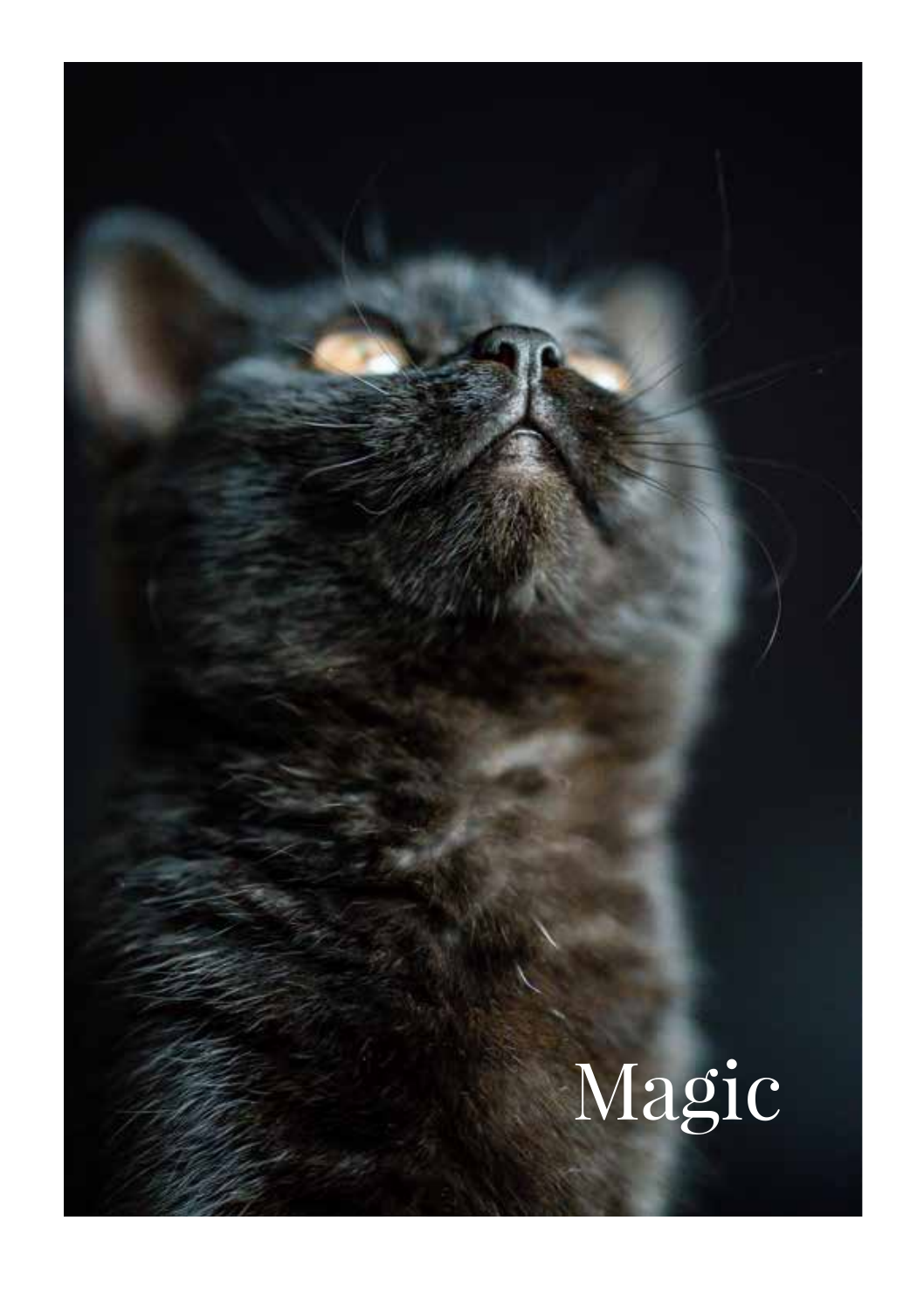# Magic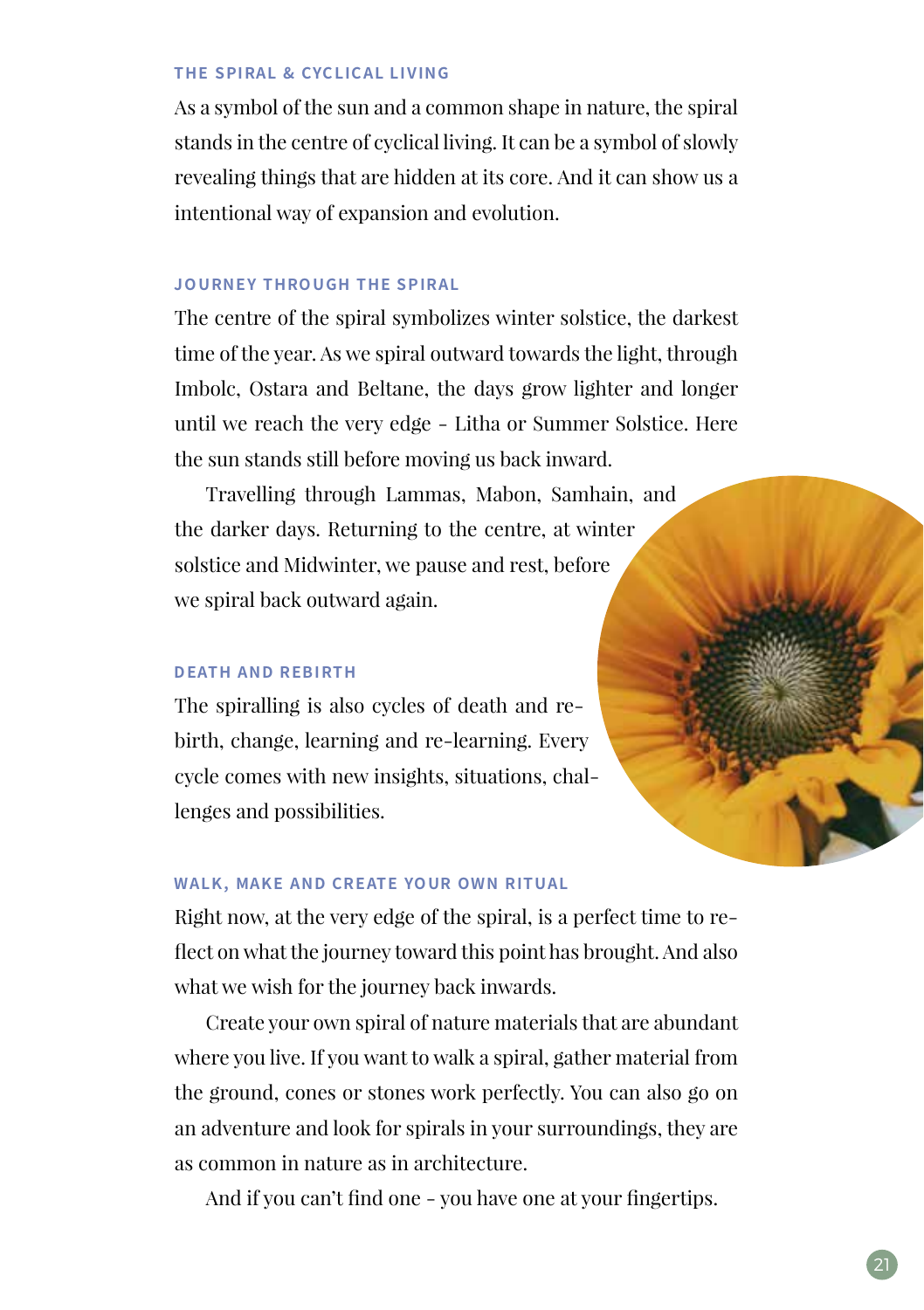### **THE SPIRAL & CYCLICAL LIVING**

As a symbol of the sun and a common shape in nature, the spiral stands in the centre of cyclical living. It can be a symbol of slowly revealing things that are hidden at its core. And it can show us a intentional way of expansion and evolution.

### **JOURNEY THROUGH THE SPIRAL**

The centre of the spiral symbolizes winter solstice, the darkest time of the year. As we spiral outward towards the light, through Imbolc, Ostara and Beltane, the days grow lighter and longer until we reach the very edge - Litha or Summer Solstice. Here the sun stands still before moving us back inward.

Travelling through Lammas, Mabon, Samhain, and the darker days. Returning to the centre, at winter solstice and Midwinter, we pause and rest, before we spiral back outward again.

### **DEATH AND REBIRTH**

The spiralling is also cycles of death and rebirth, change, learning and re-learning. Every cycle comes with new insights, situations, challenges and possibilities.

### **WALK, MAKE AND CREATE YOUR OWN RITUAL**

Right now, at the very edge of the spiral, is a perfect time to reflect on what the journey toward this point has brought. And also what we wish for the journey back inwards.

Create your own spiral of nature materials that are abundant where you live. If you want to walk a spiral, gather material from the ground, cones or stones work perfectly. You can also go on an adventure and look for spirals in your surroundings, they are as common in nature as in architecture.

And if you can't find one - you have one at your fingertips.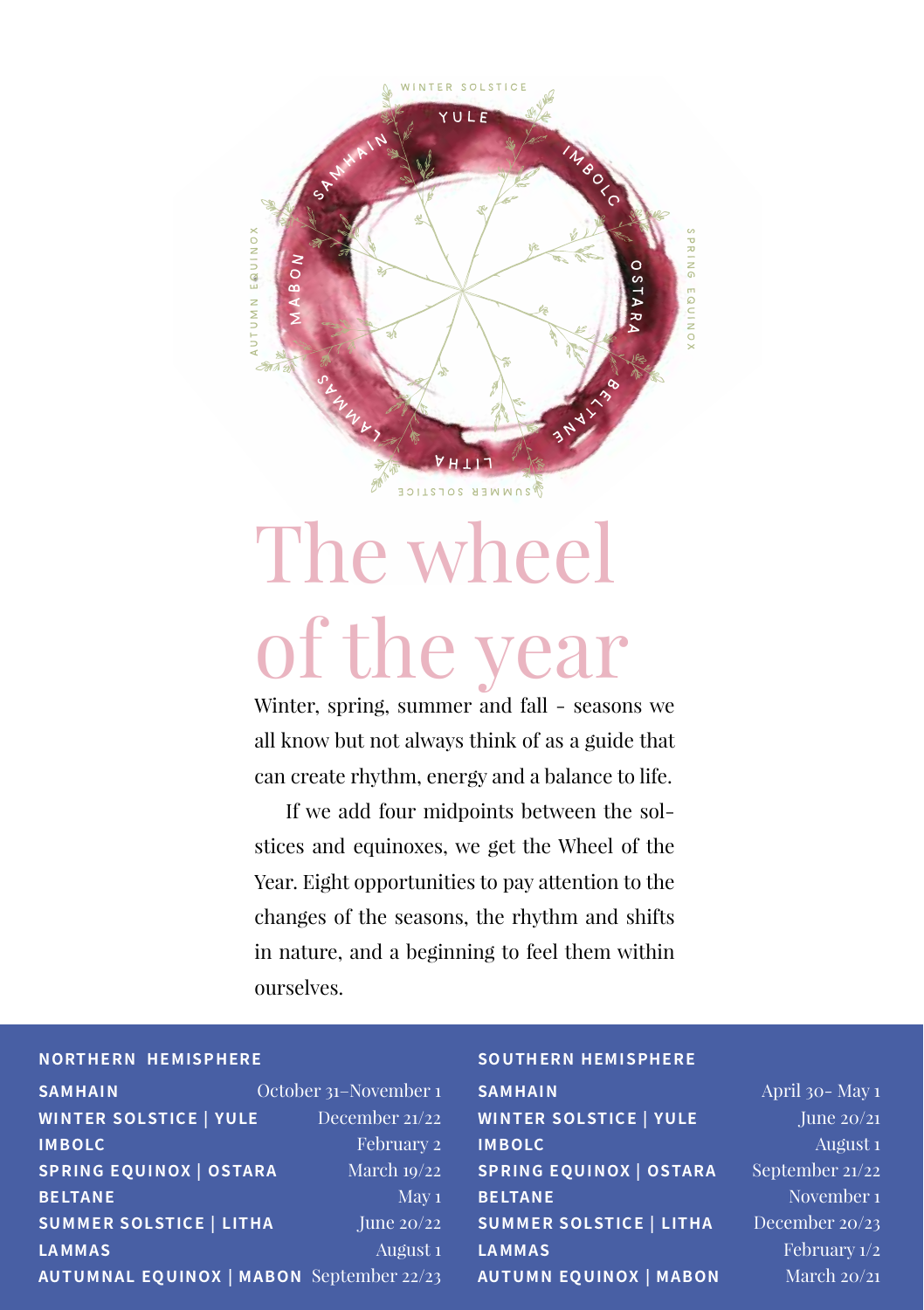

# The wheel of the year

Winter, spring, summer and fall - seasons we all know but not always think of as a guide that can create rhythm, energy and a balance to life.

If we add four midpoints between the solstices and equinoxes, we get the Wheel of the Year. Eight opportunities to pay attention to the changes of the seasons, the rhythm and shifts in nature, and a beginning to feel them within ourselves.

| <b>SAMHAIN</b>                                  | October 31-November 1 |
|-------------------------------------------------|-----------------------|
| <b>WINTER SOLSTICE   YULE</b>                   | December $21/22$      |
| <b>IMBOLC</b>                                   | February 2            |
| <b>SPRING EQUINOX   OSTARA</b>                  | March $19/22$         |
| <b>BELTANE</b>                                  | May 1                 |
| <b>SUMMER SOLSTICE   LITHA</b>                  | June $20/22$          |
| <b>LAMMAS</b>                                   | August <sub>1</sub>   |
| <b>AUTUMNAL EQUINOX   MABON</b> September 22/23 |                       |

### **NORTHERN HEMISPHERE SOUTHERN HEMISPHERE**

**SAMHAIN** April 30- May 1 **WINTER SOLSTICE | YULE** June 20/21 **IMBOLC** August 1 **SPRING EQUINOX | OSTARA** September 21/22 **BELTANE** November 1 **SUMMER SOLSTICE | LITHA** December 20/23 **LAMMAS** February 1/2 **AUTUMN EQUINOX | MABON** March 20/21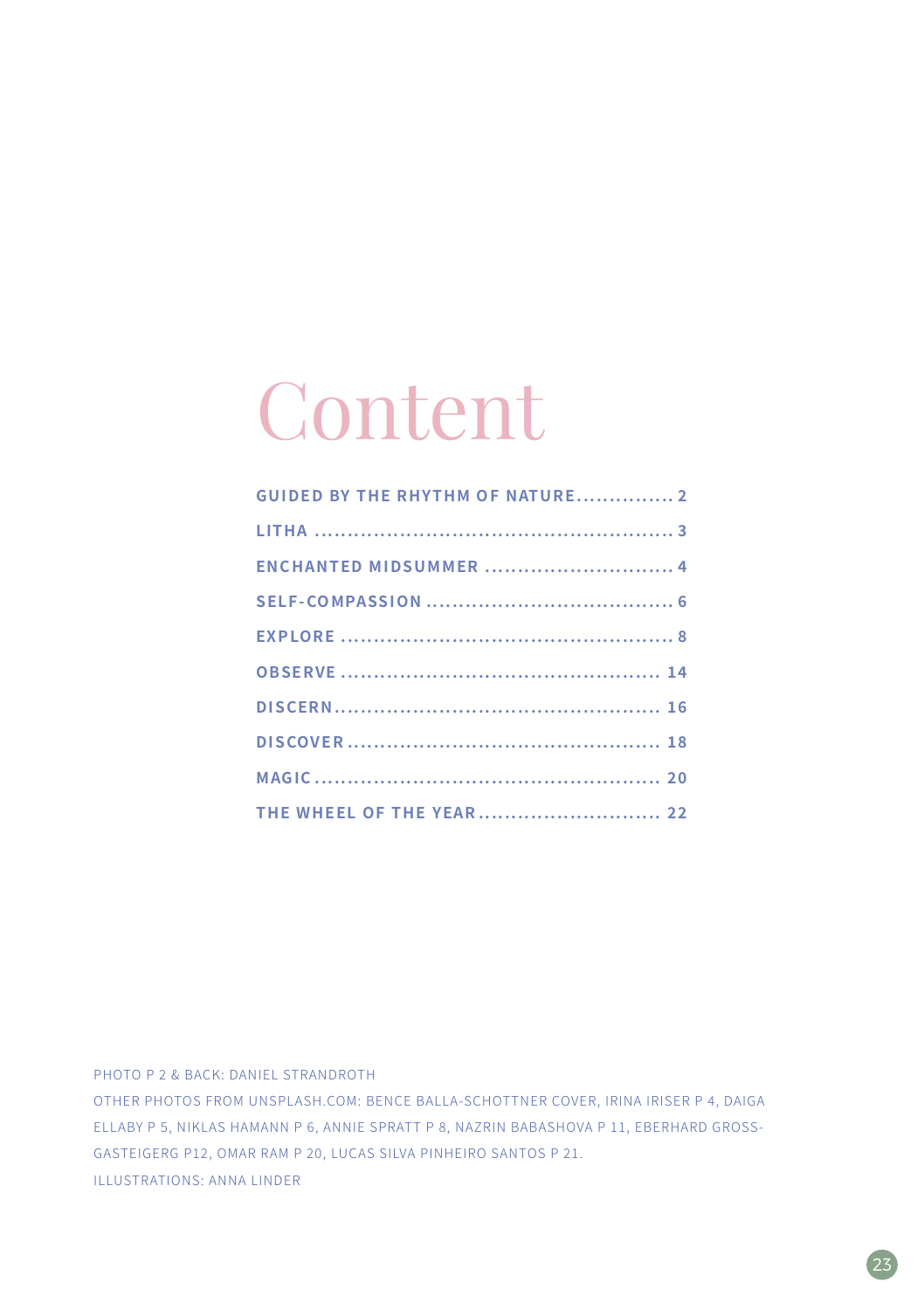## Content

| <b>GUIDED BY THE RHYTHM OF NATURE2</b> |
|----------------------------------------|
|                                        |
|                                        |
|                                        |
|                                        |
|                                        |
|                                        |
|                                        |
|                                        |
|                                        |

PHOTO P 2 & BACK: DANIEL STRANDROTH OTHER PHOTOS FROM UNSPLASH.COM: BENCE BALLA-SCHOTTNER COVER, IRINA IRISER P 4, DAIGA ELLABY P 5, NIKLAS HAMANN P 6, ANNIE SPRATT P 8, NAZRIN BABASHOVA P 11, EBERHARD GROSS-GASTEIGERG P12, OMAR RAM P 20, LUCAS SILVA PINHEIRO SANTOS P 21. ILLUSTRATIONS: ANNA LINDER